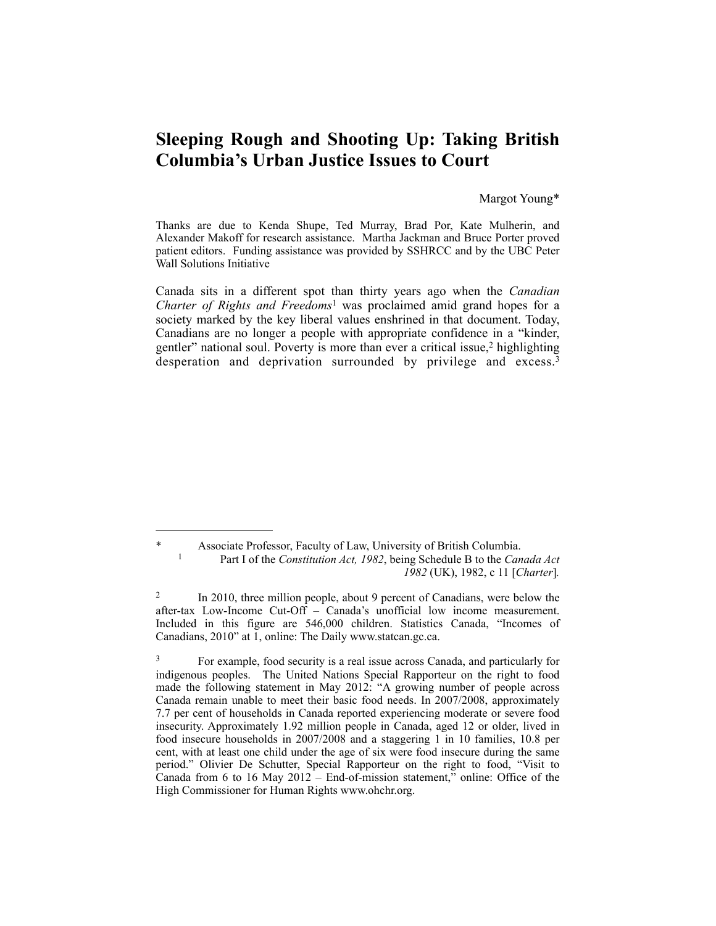# **Sleeping Rough and Shooting Up: Taking British Columbia's Urban Justice Issues to Court**

### Margot Young\*

Thanks are due to Kenda Shupe, Ted Murray, Brad Por, Kate Mulherin, and Alexander Makoff for research assistance. Martha Jackman and Bruce Porter proved patient editors. Funding assistance was provided by SSHRCC and by the UBC Peter Wall Solutions Initiative

Canada sits in a different spot than thirty years ago when the *Canadian Charter of Rights and Freedoms* was proclaimed amid grand hopes for a society marked by the key liberal values enshrined in that document. Today, Canadians are no longer a people with appropriate confidence in a "kinder, gentler" national soul. Poverty is more than ever a critical issue, $2$  highlighting desperation and deprivation surrounded by privilege and excess.<sup>3</sup>

Associate Professor, Faculty of Law, University of British Columbia. Part I of the *Constitution Act, 1982*, being Schedule B to the *Canada Act* <sup>1</sup> *1982* (UK), 1982, c 11 [*Charter*]*.* 

 $\frac{1}{2}$  In 2010, three million people, about 9 percent of Canadians, were below the after-tax Low-Income Cut-Off – Canada's unofficial low income measurement. Included in this figure are 546,000 children. Statistics Canada, "Incomes of Canadians, 2010" at 1, online: The Daily www.statcan.gc.ca.

<sup>&</sup>lt;sup>3</sup> For example, food security is a real issue across Canada, and particularly for indigenous peoples. The United Nations Special Rapporteur on the right to food made the following statement in May 2012: "A growing number of people across Canada remain unable to meet their basic food needs. In 2007/2008, approximately 7.7 per cent of households in Canada reported experiencing moderate or severe food insecurity. [A](http://www.ohchr.org/Lists/News/NewForm.aspx?List=6d528bae-c176-4394-bfd8-c38401bf6652&RootFolder=/Lists/News/2012&&&Source=/EN/Issues/Poverty/_layouts/sitemanager.aspx?SmtContext%253DSPFolder:3e7552f6-09f3-4ed6-a53b-ca63c07b46d4?SPWeb:b4e33e86-409b-44c1-8485-331954efb210:%2526SmtContextExpanded%253DTrue%2526Filter%253D1%2526pgsz%253D100%2526vrmode%253DFalse%2526lvn%253DNEWS%2520BY%2520NEWS_ID#/o)pproximately 1.92 million people in Canada, aged 12 or older, lived in food insecure households in 2007/2008 and a staggering 1 in 10 families, 10.8 per cent, with at least one child under the age of six were food insecure during the same period." Olivier De Schutter, Special Rapporteur on the right to food, "Visit to Canada from 6 to 16 May 2012 – End-of-mission statement, $\overline{p}$  online: Office of the High Commissioner for Human Rights [www.ohchr.org.](http://www.ohchr.org/EN/NewsEvents/Pages/DisplayNews.aspx?NewsID=12159&LangID=E)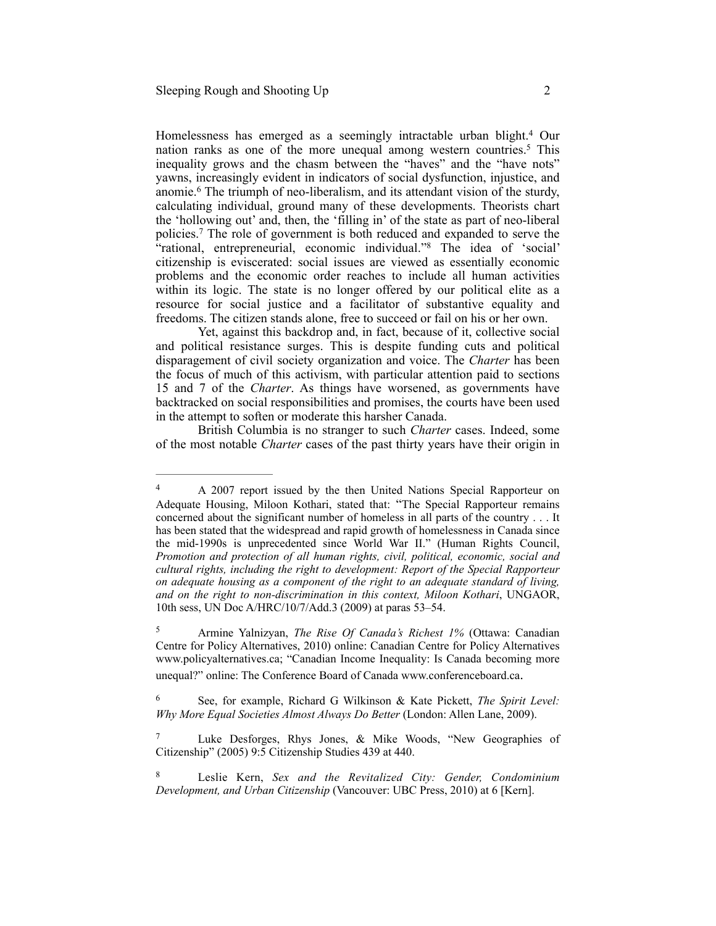Homelessness has emerged as a seemingly intractable urban blight.<sup>4</sup> Our nation ranks as one of the more unequal among western countries.<sup>5</sup> This inequality grows and the chasm between the "haves" and the "have nots" yawns, increasingly evident in indicators of social dysfunction, injustice, and anomie.<sup>6</sup> The triumph of neo-liberalism, and its attendant vision of the sturdy, calculating individual, ground many of these developments. Theorists chart the 'hollowing out' and, then, the 'filling in' of the state as part of neo-liberal policies.<sup>7</sup> The role of government is both reduced and expanded to serve the "rational, entrepreneurial, economic individual."<sup>8</sup> The idea of 'social' citizenship is eviscerated: social issues are viewed as essentially economic problems and the economic order reaches to include all human activities within its logic. The state is no longer offered by our political elite as a resource for social justice and a facilitator of substantive equality and freedoms. The citizen stands alone, free to succeed or fail on his or her own.

Yet, against this backdrop and, in fact, because of it, collective social and political resistance surges. This is despite funding cuts and political disparagement of civil society organization and voice. The *Charter* has been the focus of much of this activism, with particular attention paid to sections 15 and 7 of the *Charter*. As things have worsened, as governments have backtracked on social responsibilities and promises, the courts have been used in the attempt to soften or moderate this harsher Canada.

British Columbia is no stranger to such *Charter* cases. Indeed, some of the most notable *Charter* cases of the past thirty years have their origin in

<sup>&</sup>lt;sup>4</sup> A 2007 report issued by the then United Nations Special Rapporteur on Adequate Housing, Miloon Kothari, stated that: "The Special Rapporteur remains concerned about the significant number of homeless in all parts of the country . . . It has been stated that the widespread and rapid growth of homelessness in Canada since the mid-1990s is unprecedented since World War II." (Human Rights Council, *Promotion and protection of all human rights, civil, political, economic, social and cultural rights, including the right to development: Report of the Special Rapporteur on adequate housing as a component of the right to an adequate standard of living, and on the right to non-discrimination in this context, Miloon Kothari*, UNGAOR, 10th sess, UN Doc A/HRC/10/7/Add.3 (2009) at paras 53–54.

Armine Yalnizyan, *The Rise Of Canada's Richest 1%* (Ottawa: Canadian 5 Centre for Policy Alternatives, 2010) online: Canadian Centre for Policy Alternatives www.policyalternatives.ca; "Canadian Income Inequality: Is Canada becoming more unequal?" online: The Conference Board of Canada [www.conferenceboard.ca.](http://www.conferenceboard.ca/hcp/hot-topics/caninequality.aspx)

See, for example, Richard G Wilkinson & Kate Pickett, *The Spirit Level:* <sup>6</sup> *Why More Equal Societies Almost Always Do Better* (London: Allen Lane, 2009).

Luke Desforges, Rhys Jones, & Mike Woods, "New Geographies of Citizenship" (2005) 9:5 Citizenship Studies 439 at 440.

Leslie Kern, *Sex and the Revitalized City: Gender, Condominium* <sup>8</sup> *Development, and Urban Citizenship* (Vancouver: UBC Press, 2010) at 6 [Kern].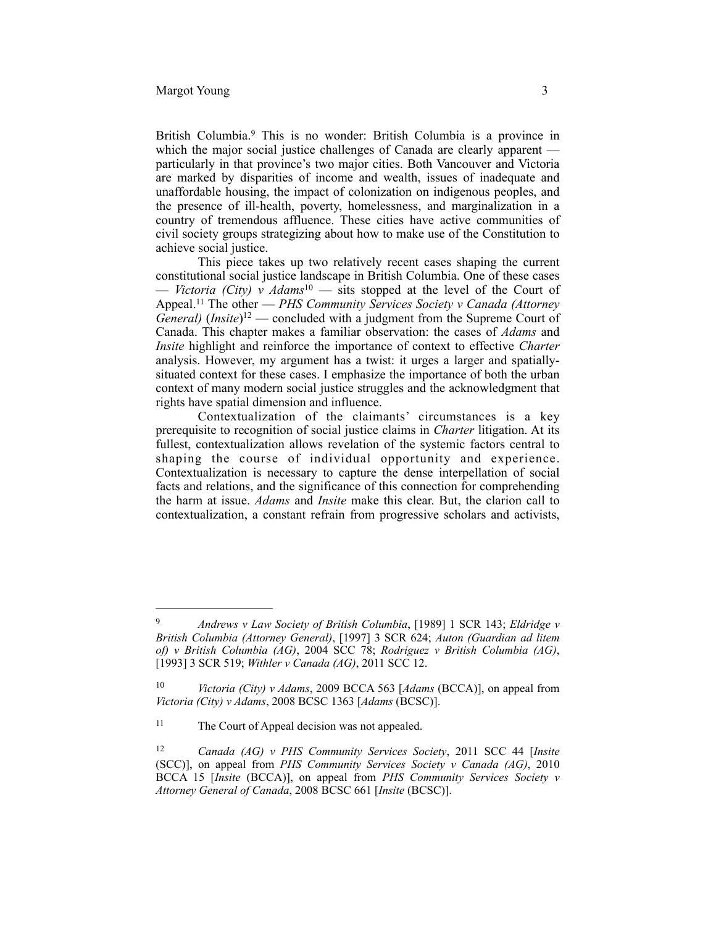British Columbia.<sup>9</sup> This is no wonder: British Columbia is a province in which the major social justice challenges of Canada are clearly apparent particularly in that province's two major cities. Both Vancouver and Victoria are marked by disparities of income and wealth, issues of inadequate and unaffordable housing, the impact of colonization on indigenous peoples, and the presence of ill-health, poverty, homelessness, and marginalization in a country of tremendous affluence. These cities have active communities of civil society groups strategizing about how to make use of the Constitution to achieve social justice.

This piece takes up two relatively recent cases shaping the current constitutional social justice landscape in British Columbia. One of these cases — *Victoria (City)* v  $Adams^{10}$  — sits stopped at the level of the Court of Appeal.<sup>11</sup> The other — *PHS Community Services Society v Canada (Attorney*  $General$ ) (*Insite*)<sup>12</sup> — concluded with a judgment from the Supreme Court of Canada. This chapter makes a familiar observation: the cases of *Adams* and *Insite* highlight and reinforce the importance of context to effective *Charter* analysis. However, my argument has a twist: it urges a larger and spatiallysituated context for these cases. I emphasize the importance of both the urban context of many modern social justice struggles and the acknowledgment that rights have spatial dimension and influence.

Contextualization of the claimants' circumstances is a key prerequisite to recognition of social justice claims in *Charter* litigation. At its fullest, contextualization allows revelation of the systemic factors central to shaping the course of individual opportunity and experience. Contextualization is necessary to capture the dense interpellation of social facts and relations, and the significance of this connection for comprehending the harm at issue. *Adams* and *Insite* make this clear. But, the clarion call to contextualization, a constant refrain from progressive scholars and activists,

*Andrews v Law Society of British Columbia*, [1989] 1 SCR 143; *Eldridge v* <sup>9</sup> *British Columbia (Attorney General)*, [1997] 3 SCR 624; *Auton (Guardian ad litem of) v British Columbia (AG)*, 2004 SCC 78; *Rodriguez v British Columbia (AG)*, [1993] 3 SCR 519; *Withler v Canada (AG)*, 2011 SCC 12.

<sup>&</sup>lt;sup>10</sup> *Victoria (City) v Adams*, 2009 BCCA 563 [*Adams* (BCCA)], on appeal from *Victoria (City) v Adams*, 2008 BCSC 1363 [*Adams* (BCSC)].

<sup>&</sup>lt;sup>11</sup> The Court of Appeal decision was not appealed.

<sup>&</sup>lt;sup>12</sup> *Canada (AG) v PHS Community Services Society*, 2011 SCC 44 [*Insite* (SCC)], on appeal from *PHS Community Services Society v Canada (AG)*, 2010 BCCA 15 [*Insite* (BCCA)], on appeal from *PHS Community Services Society v Attorney General of Canada*, 2008 BCSC 661 [*Insite* (BCSC)].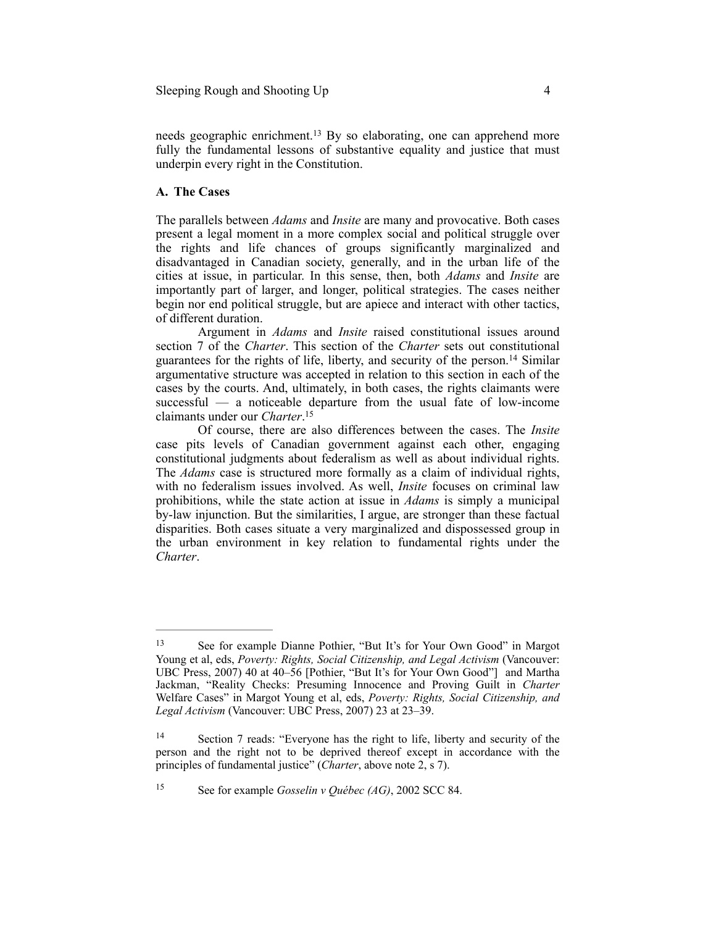needs geographic enrichment.<sup>13</sup> By so elaborating, one can apprehend more fully the fundamental lessons of substantive equality and justice that must underpin every right in the Constitution.

# **A. The Cases**

The parallels between *Adams* and *Insite* are many and provocative. Both cases present a legal moment in a more complex social and political struggle over the rights and life chances of groups significantly marginalized and disadvantaged in Canadian society, generally, and in the urban life of the cities at issue, in particular. In this sense, then, both *Adams* and *Insite* are importantly part of larger, and longer, political strategies. The cases neither begin nor end political struggle, but are apiece and interact with other tactics, of different duration.

Argument in *Adams* and *Insite* raised constitutional issues around section 7 of the *Charter*. This section of the *Charter* sets out constitutional guarantees for the rights of life, liberty, and security of the person.<sup>14</sup> Similar argumentative structure was accepted in relation to this section in each of the cases by the courts. And, ultimately, in both cases, the rights claimants were successful — a noticeable departure from the usual fate of low-income claimants under our *Charter*. 15

Of course, there are also differences between the cases. The *Insite* case pits levels of Canadian government against each other, engaging constitutional judgments about federalism as well as about individual rights. The *Adams* case is structured more formally as a claim of individual rights, with no federalism issues involved. As well, *Insite* focuses on criminal law prohibitions, while the state action at issue in *Adams* is simply a municipal by-law injunction. But the similarities, I argue, are stronger than these factual disparities. Both cases situate a very marginalized and dispossessed group in the urban environment in key relation to fundamental rights under the *Charter*.

See for example *Gosselin v Québec (AG)*, 2002 SCC 84. <sup>15</sup>

<sup>&</sup>lt;sup>13</sup> See for example Dianne Pothier, "But It's for Your Own Good" in Margot Young et al, eds, *Poverty: Rights, Social Citizenship, and Legal Activism* (Vancouver: UBC Press, 2007) 40 at 40–56 [Pothier, "But It's for Your Own Good"] and Martha Jackman, "Reality Checks: Presuming Innocence and Proving Guilt in *Charter* Welfare Cases" in Margot Young et al, eds, *Poverty: Rights, Social Citizenship, and Legal Activism* (Vancouver: UBC Press, 2007) 23 at 23–39.

<sup>&</sup>lt;sup>14</sup> Section 7 reads: "Everyone has the right to life, liberty and security of the person and the right not to be deprived thereof except in accordance with the principles of fundamental justice" (*Charter*, above note 2, s 7).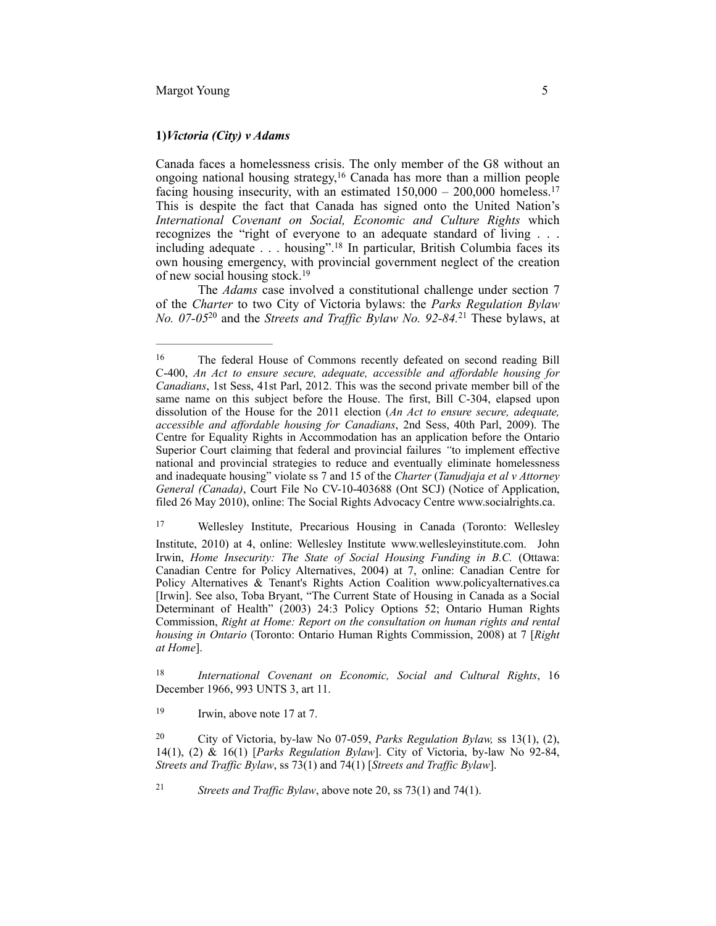#### **1)***Victoria (City) v Adams*

Canada faces a homelessness crisis. The only member of the G8 without an ongoing national housing strategy,<sup>16</sup> Canada has more than a million people facing housing insecurity, with an estimated  $150,000 - 200,000$  homeless.<sup>17</sup> This is despite the fact that Canada has signed onto the United Nation's *International Covenant on Social, Economic and Culture Rights* which recognizes the "right of everyone to an adequate standard of living . . . including adequate . . . housing".<sup>18</sup> In particular, British Columbia faces its own housing emergency, with provincial government neglect of the creation of new social housing stock.19

The *Adams* case involved a constitutional challenge under section 7 of the *Charter* to two City of Victoria bylaws: the *Parks Regulation Bylaw No. 07-05*<sup>20</sup> and the *Streets and Traffic Bylaw No. 92-84*.<sup>21</sup> These bylaws, at

<sup>17</sup> Wellesley Institute, Precarious Housing in Canada (Toronto: Wellesley

<sup>18</sup> International Covenant on Economic, Social and Cultural Rights, 16 December 1966, 993 UNTS 3, art 11.

<sup>19</sup> Irwin, above note 17 at 7.

*Streets and Traffic Bylaw*, above note 20, ss 73(1) and 74(1). <sup>21</sup>

<sup>&</sup>lt;sup>16</sup> The federal House of Commons recently defeated on second reading Bill C-400, *An Act to ensure secure, adequate, accessible and affordable housing for Canadians*, 1st Sess, 41st Parl, 2012. This was the second private member bill of the same name on this subject before the House. The first, Bill C-304, elapsed upon dissolution of the House for the 2011 election (*An Act to ensure secure, adequate, accessible and affordable housing for Canadians*, 2nd Sess, 40th Parl, 2009). The Centre for Equality Rights in Accommodation has an application before the Ontario Superior Court claiming that federal and provincial failures *"*to implement effective national and provincial strategies to reduce and eventually eliminate homelessness and inadequate housing" violate ss 7 and 15 of the *Charter* (*Tanudjaja et al v Attorney General (Canada)*, Court File No CV-10-403688 (Ont SCJ) (Notice of Application, filed 26 May 2010), online: The Social Rights Advocacy Centre www.socialrights.ca.

Institute, 2010) at 4, online: Wellesley Institute [www.wellesleyinstitute.com.](http://www.wellesleyinstitute.com/wp-content/uploads/2010/08/Precarious_Housing_In_Canada.pdf) John Irwin, *Home Insecurity: The State of Social Housing Funding in B.C.* (Ottawa: Canadian Centre for Policy Alternatives, 2004) at 7, online: Canadian Centre for Policy Alternatives & Tenant's Rights Action Coalition www.policyalternatives.ca [Irwin]. See also, Toba Bryant, "The Current State of Housing in Canada as a Social Determinant of Health" (2003) 24:3 Policy Options 52; Ontario Human Rights Commission, *Right at Home: Report on the consultation on human rights and rental housing in Ontario* (Toronto: Ontario Human Rights Commission, 2008) at 7 [*Right at Home*].

<sup>&</sup>lt;sup>20</sup> City of Victoria, by-law No 07-059, *Parks Regulation Bylaw*, ss 13(1), (2), 14(1), (2) & 16(1) [*Parks Regulation Bylaw*]. City of Victoria, by-law No 92-84, *Streets and Traffic Bylaw*, ss 73(1) and 74(1) [*Streets and Traffic Bylaw*].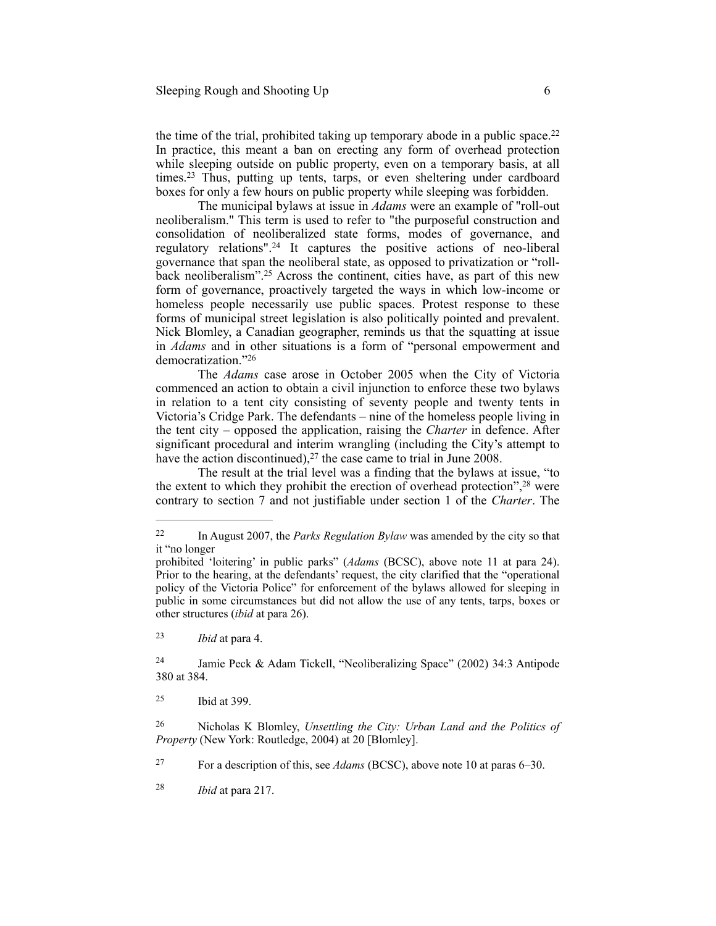the time of the trial, prohibited taking up temporary abode in a public space.<sup>22</sup> In practice, this meant a ban on erecting any form of overhead protection while sleeping outside on public property, even on a temporary basis, at all times.<sup>23</sup> Thus, putting up tents, tarps, or even sheltering under cardboard boxes for only a few hours on public property while sleeping was forbidden.

The municipal bylaws at issue in *Adams* were an example of "roll-out neoliberalism." This term is used to refer to "the purposeful construction and consolidation of neoliberalized state forms, modes of governance, and regulatory relations".<sup>24</sup> It captures the positive actions of neo-liberal governance that span the neoliberal state, as opposed to privatization or "rollback neoliberalism".<sup>25</sup> Across the continent, cities have, as part of this new form of governance, proactively targeted the ways in which low-income or homeless people necessarily use public spaces. Protest response to these forms of municipal street legislation is also politically pointed and prevalent. Nick Blomley, a Canadian geographer, reminds us that the squatting at issue in *Adams* and in other situations is a form of "personal empowerment and democratization."26

The *Adams* case arose in October 2005 when the City of Victoria commenced an action to obtain a civil injunction to enforce these two bylaws in relation to a tent city consisting of seventy people and twenty tents in Victoria's Cridge Park. The defendants – nine of the homeless people living in the tent city – opposed the application, raising the *Charter* in defence. After significant procedural and interim wrangling (including the City's attempt to have the action discontinued),  $27$  the case came to trial in June 2008.

The result at the trial level was a finding that the bylaws at issue, "to the extent to which they prohibit the erection of overhead protection", $^{28}$  were contrary to section 7 and not justifiable under section 1 of the *Charter*. The

 *Ibid* at para 4. <sup>23</sup>

 Jamie Peck & Adam Tickell, "Neoliberalizing Space" (2002) 34:3 Antipode 24 380 at 384.

<sup>25</sup> Ibid at 399.

 Nicholas K Blomley, *Unsettling the City: Urban Land and the Politics of* <sup>26</sup> *Property* (New York: Routledge, 2004) at 20 [Blomley].

For a description of this, see *Adams* (BCSC), above note 10 at paras 6–30. <sup>27</sup>

 *Ibid* at para 217. <sup>28</sup>

<sup>&</sup>lt;sup>22</sup> In August 2007, the *Parks Regulation Bylaw* was amended by the city so that it "no longer

prohibited 'loitering' in public parks" (*Adams* (BCSC), above note 11 at para 24). Prior to the hearing, at the defendants' request, the city clarified that the "operational policy of the Victoria Police" for enforcement of the bylaws allowed for sleeping in public in some circumstances but did not allow the use of any tents, tarps, boxes or other structures (*ibid* at para 26).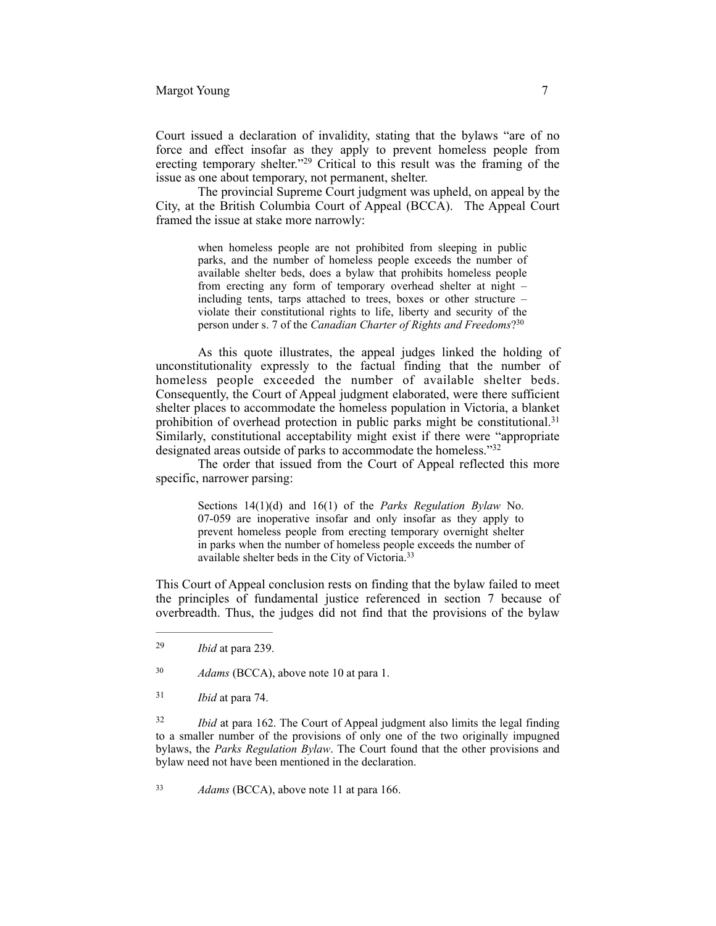Court issued a declaration of invalidity, stating that the bylaws "are of no force and effect insofar as they apply to prevent homeless people from erecting temporary shelter."<sup>29</sup> Critical to this result was the framing of the issue as one about temporary, not permanent, shelter.

The provincial Supreme Court judgment was upheld, on appeal by the City, at the British Columbia Court of Appeal (BCCA). The Appeal Court framed the issue at stake more narrowly:

> when homeless people are not prohibited from sleeping in public parks, and the number of homeless people exceeds the number of available shelter beds, does a bylaw that prohibits homeless people from erecting any form of temporary overhead shelter at night – including tents, tarps attached to trees, boxes or other structure – violate their constitutional rights to life, liberty and security of the person under s. 7 of the *Canadian Charter of Rights and Freedoms*?30

As this quote illustrates, the appeal judges linked the holding of unconstitutionality expressly to the factual finding that the number of homeless people exceeded the number of available shelter beds. Consequently, the Court of Appeal judgment elaborated, were there sufficient shelter places to accommodate the homeless population in Victoria, a blanket prohibition of overhead protection in public parks might be constitutional.<sup>31</sup> Similarly, constitutional acceptability might exist if there were "appropriate designated areas outside of parks to accommodate the homeless."<sup>32</sup>

The order that issued from the Court of Appeal reflected this more specific, narrower parsing:

> Sections 14(1)(d) and 16(1) of the *Parks Regulation Bylaw* No. 07-059 are inoperative insofar and only insofar as they apply to prevent homeless people from erecting temporary overnight shelter in parks when the number of homeless people exceeds the number of available shelter beds in the City of Victoria.33

This Court of Appeal conclusion rests on finding that the bylaw failed to meet the principles of fundamental justice referenced in section 7 because of overbreadth. Thus, the judges did not find that the provisions of the bylaw

<sup>31</sup> *Ibid* at para 74.

<sup>32</sup> *Ibid* at para 162. The Court of Appeal judgment also limits the legal finding to a smaller number of the provisions of only one of the two originally impugned bylaws, the *Parks Regulation Bylaw*. The Court found that the other provisions and bylaw need not have been mentioned in the declaration.

*Adams* (BCCA), above note 11 at para 166. <sup>33</sup>

<sup>&</sup>lt;sup>29</sup> *Ibid* at para 239.

<sup>&</sup>lt;sup>30</sup> *Adams* (BCCA), above note 10 at para 1.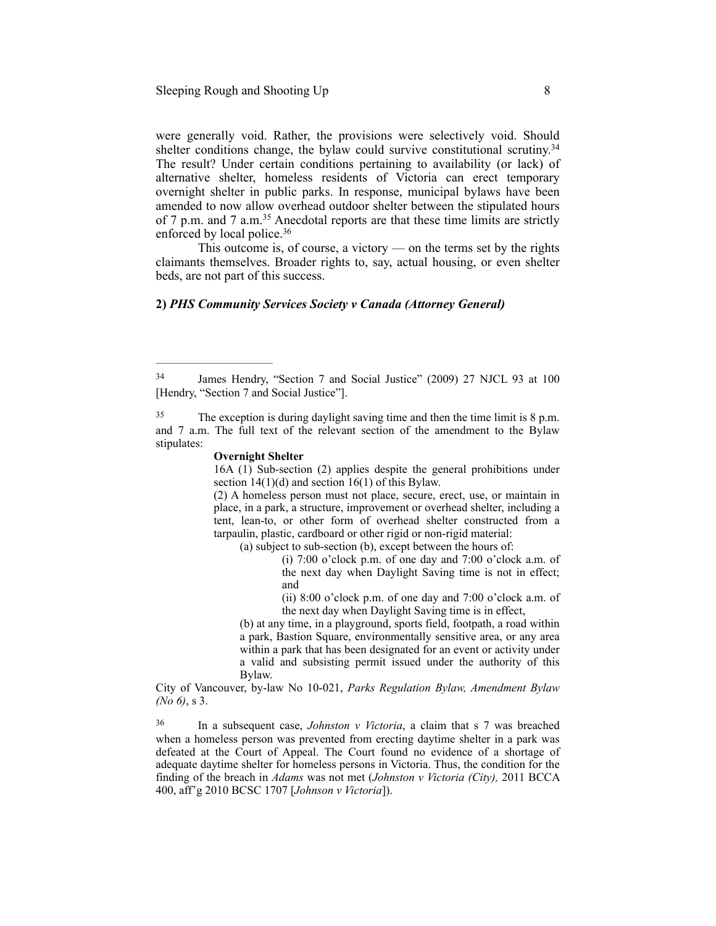were generally void. Rather, the provisions were selectively void. Should shelter conditions change, the bylaw could survive constitutional scrutiny.<sup>34</sup> The result? Under certain conditions pertaining to availability (or lack) of alternative shelter, homeless residents of Victoria can erect temporary overnight shelter in public parks. In response, municipal bylaws have been amended to now allow overhead outdoor shelter between the stipulated hours of 7 p.m. and 7 a.m.<sup>35</sup> Anecdotal reports are that these time limits are strictly enforced by local police.<sup>36</sup>

This outcome is, of course, a victory — on the terms set by the rights claimants themselves. Broader rights to, say, actual housing, or even shelter beds, are not part of this success.

#### **2)** *PHS Community Services Society v Canada (Attorney General)*

#### **Overnight Shelter**

16A (1) Sub-section (2) applies despite the general prohibitions under section  $14(1)(d)$  and section  $16(1)$  of this Bylaw.

(2) A homeless person must not place, secure, erect, use, or maintain in place, in a park, a structure, improvement or overhead shelter, including a tent, lean-to, or other form of overhead shelter constructed from a tarpaulin, plastic, cardboard or other rigid or non-rigid material:

(a) subject to sub-section (b), except between the hours of:

(i) 7:00 o'clock p.m. of one day and 7:00 o'clock a.m. of the next day when Daylight Saving time is not in effect; and

(ii) 8:00 o'clock p.m. of one day and 7:00 o'clock a.m. of the next day when Daylight Saving time is in effect,

(b) at any time, in a playground, sports field, footpath, a road within a park, Bastion Square, environmentally sensitive area, or any area within a park that has been designated for an event or activity under a valid and subsisting permit issued under the authority of this Bylaw.

City of Vancouver, by-law No 10-021, *Parks Regulation Bylaw, Amendment Bylaw (No 6)*, s 3.

<sup>36</sup> In a subsequent case, *Johnston v Victoria*, a claim that s 7 was breached when a homeless person was prevented from erecting daytime shelter in a park was defeated at the Court of Appeal. The Court found no evidence of a shortage of adequate daytime shelter for homeless persons in Victoria. Thus, the condition for the finding of the breach in *Adams* was not met (*Johnston v Victoria (City),* 2011 BCCA 400, aff'g 2010 BCSC 1707 [*Johnson v Victoria*]).

<sup>&</sup>lt;sup>34</sup> James Hendry, "Section 7 and Social Justice" (2009) 27 NJCL 93 at 100 [Hendry, "Section 7 and Social Justice"].

<sup>&</sup>lt;sup>35</sup> The exception is during daylight saving time and then the time limit is 8 p.m. and 7 a.m. The full text of the relevant section of the amendment to the Bylaw stipulates: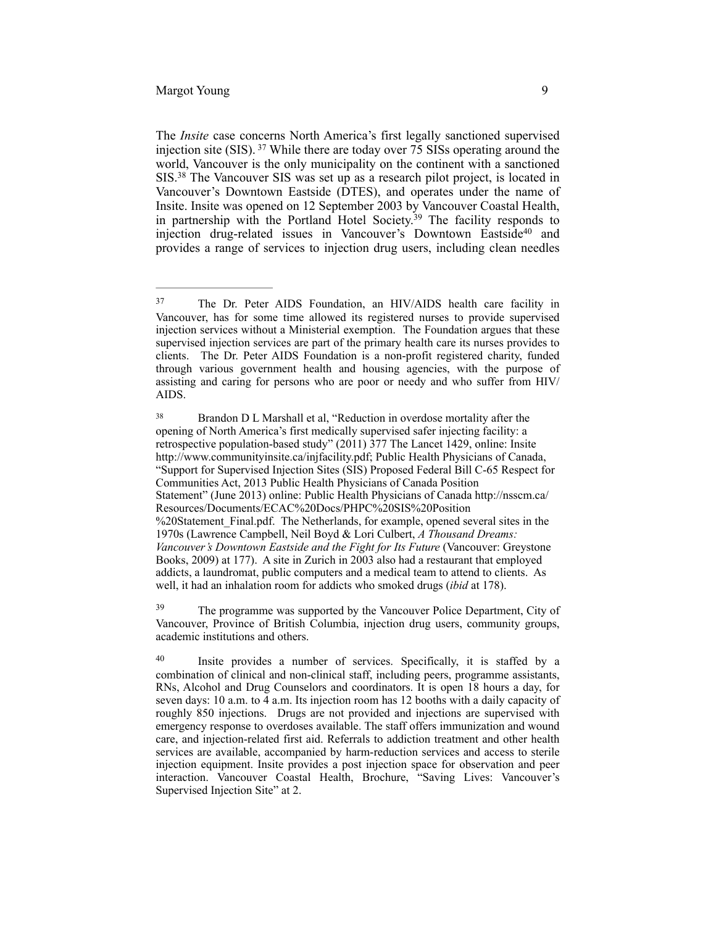The *Insite* case concerns North America's first legally sanctioned supervised injection site (SIS).  $37$  While there are today over 75 SISs operating around the world, Vancouver is the only municipality on the continent with a sanctioned SIS.<sup>38</sup> The Vancouver SIS was set up as a research pilot project, is located in Vancouver's Downtown Eastside (DTES), and operates under the name of Insite. Insite was opened on 12 September 2003 by Vancouver Coastal Health, in partnership with the Portland Hotel Society.<sup>39</sup> The facility responds to injection drug-related issues in Vancouver's Downtown Eastside<sup>40</sup> and provides a range of services to injection drug users, including clean needles

<sup>&</sup>lt;sup>37</sup> The Dr. Peter AIDS Foundation, an HIV/AIDS health care facility in Vancouver, has for some time allowed its registered nurses to provide supervised injection services without a Ministerial exemption. The Foundation argues that these supervised injection services are part of the primary health care its nurses provides to clients. The Dr. Peter AIDS Foundation is a non-profit registered charity, funded through various government health and housing agencies, with the purpose of assisting and caring for persons who are poor or needy and who suffer from HIV/ AIDS.

<sup>&</sup>lt;sup>38</sup> Brandon D L Marshall et al, "Reduction in overdose mortality after the opening of North America's first medically supervised safer injecting facility: a retrospective population-based study" (2011) 377 The Lancet 1429, online: Insite <http://www.communityinsite.ca/injfacility.pdf>; Public Health Physicians of Canada, "Support for Supervised Injection Sites (SIS) Proposed Federal Bill C-65 Respect for Communities Act, 2013 Public Health Physicians of Canada Position [Statement" \(June 2013\) online: Public Health Physicians of Canada http://nsscm.ca/](http://nsscm.ca/Resources/Documents/ECAC%20Docs/PHPC%20SIS%20Position%20Statement_Final.pdf) Resources/Documents/ECAC%20Docs/PHPC%20SIS%20Position %20Statement Final.pdf. The Netherlands, for example, opened several sites in the 1970s (Lawrence Campbell, Neil Boyd & Lori Culbert, *A Thousand Dreams: Vancouver's Downtown Eastside and the Fight for Its Future* (Vancouver: Greystone Books, 2009) at 177). A site in Zurich in 2003 also had a restaurant that employed addicts, a laundromat, public computers and a medical team to attend to clients. As well, it had an inhalation room for addicts who smoked drugs (*ibid* at 178).

<sup>&</sup>lt;sup>39</sup> The programme was supported by the Vancouver Police Department, City of Vancouver, Province of British Columbia, injection drug users, community groups, academic institutions and others.

<sup>&</sup>lt;sup>40</sup> Insite provides a number of services. Specifically, it is staffed by a combination of clinical and non-clinical staff, including peers, programme assistants, RNs, Alcohol and Drug Counselors and coordinators. It is open 18 hours a day, for seven days: 10 a.m. to 4 a.m. Its injection room has 12 booths with a daily capacity of roughly 850 injections. Drugs are not provided and injections are supervised with emergency response to overdoses available. The staff offers immunization and wound care, and injection-related first aid. Referrals to addiction treatment and other health services are available, accompanied by harm-reduction services and access to sterile injection equipment. Insite provides a post injection space for observation and peer interaction. Vancouver Coastal Health, Brochure, "Saving Lives: Vancouver's Supervised Injection Site" at 2.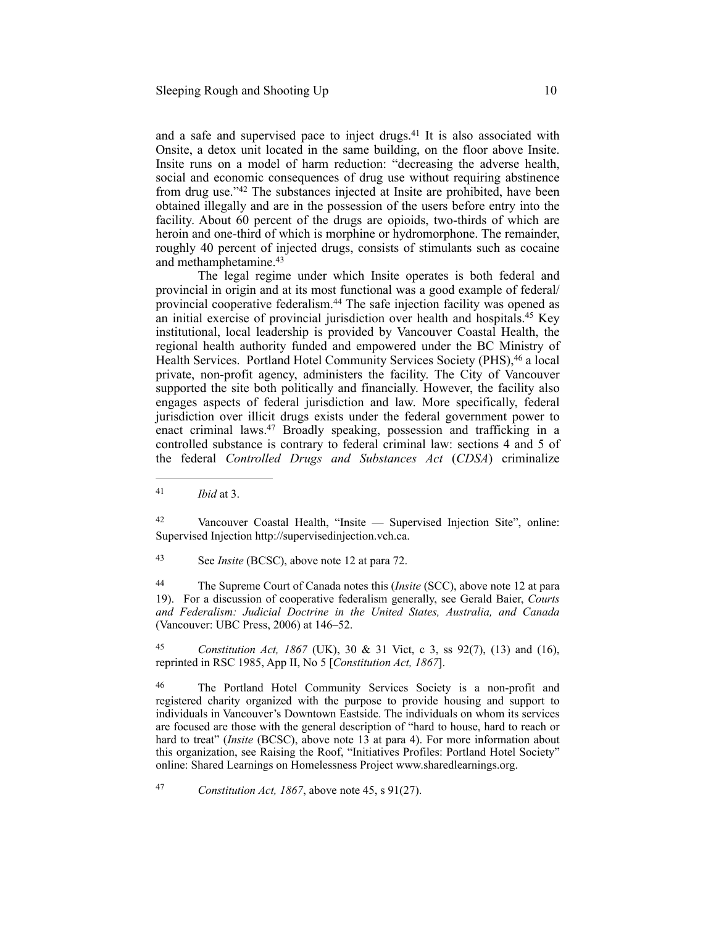and a safe and supervised pace to inject drugs. $41$  It is also associated with Onsite, a detox unit located in the same building, on the floor above Insite. Insite runs on a model of harm reduction: "decreasing the adverse health, social and economic consequences of drug use without requiring abstinence from drug use." $42$  The substances injected at Insite are prohibited, have been obtained illegally and are in the possession of the users before entry into the facility. About 60 percent of the drugs are opioids, two-thirds of which are heroin and one-third of which is morphine or hydromorphone. The remainder, roughly 40 percent of injected drugs, consists of stimulants such as cocaine and methamphetamine.43

The legal regime under which Insite operates is both federal and provincial in origin and at its most functional was a good example of federal/ provincial cooperative federalism. $44$  The safe injection facility was opened as an initial exercise of provincial jurisdiction over health and hospitals.<sup>45</sup> Key institutional, local leadership is provided by Vancouver Coastal Health, the regional health authority funded and empowered under the BC Ministry of Health Services. Portland Hotel Community Services Society (PHS), <sup>46</sup> a local private, non-profit agency, administers the facility. The City of Vancouver supported the site both politically and financially. However, the facility also engages aspects of federal jurisdiction and law. More specifically, federal jurisdiction over illicit drugs exists under the federal government power to enact criminal laws.<sup>47</sup> Broadly speaking, possession and trafficking in a controlled substance is contrary to federal criminal law: sections 4 and 5 of the federal *Controlled Drugs and Substances Act* (*CDSA*) criminalize

Vancouver Coastal Health, "Insite — Supervised Injection Site", online: 42 Supervised Injection http://supervisedinjection.vch.ca.

See *Insite* (BCSC), above note 12 at para 72. <sup>43</sup>

 The Supreme Court of Canada notes this (*Insite* (SCC), above note 12 at para 44 19). For a discussion of cooperative federalism generally, see Gerald Baier, *Courts and Federalism: Judicial Doctrine in the United States, Australia, and Canada*  (Vancouver: UBC Press, 2006) at 146–52.

*Constitution Act, 1867* (UK), 30 & 31 Vict, c 3, ss 92(7), (13) and (16), 45 reprinted in RSC 1985, App II, No 5 [*Constitution Act, 1867*].

The Portland Hotel Community Services Society is a non-profit and registered charity organized with the purpose to provide housing and support to individuals in Vancouver's Downtown Eastside. The individuals on whom its services are focused are those with the general description of "hard to house, hard to reach or hard to treat" (*Insite* (BCSC), above note 13 at para 4). For more information about this organization, see Raising the Roof, "Initiatives Profiles: Portland Hotel Society" online: Shared Learnings on Homelessness Project www.sharedlearnings.org.

<sup>47</sup> *Constitution Act, 1867*, above note 45, s 91(27).

 $41$  *Ibid* at 3.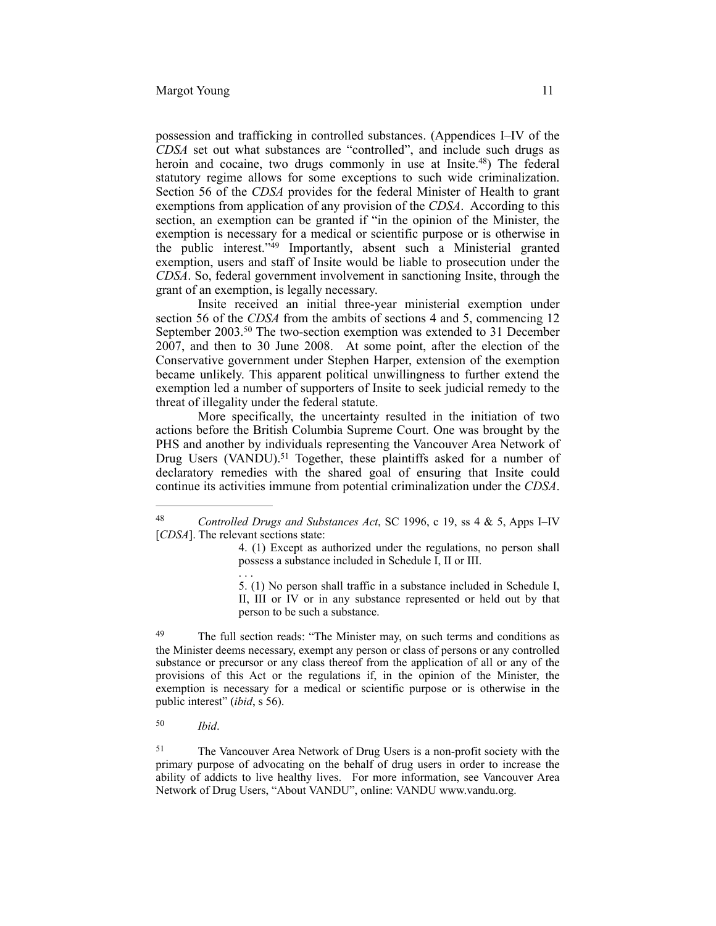possession and trafficking in controlled substances. (Appendices I–IV of the *CDSA* set out what substances are "controlled", and include such drugs as heroin and cocaine, two drugs commonly in use at Insite.<sup>48</sup>) The federal statutory regime allows for some exceptions to such wide criminalization. Section 56 of the *CDSA* provides for the federal Minister of Health to grant exemptions from application of any provision of the *CDSA*. According to this section, an exemption can be granted if "in the opinion of the Minister, the exemption is necessary for a medical or scientific purpose or is otherwise in the public interest." $49$  Importantly, absent such a Ministerial granted exemption, users and staff of Insite would be liable to prosecution under the *CDSA*. So, federal government involvement in sanctioning Insite, through the grant of an exemption, is legally necessary.

Insite received an initial three-year ministerial exemption under section 56 of the *CDSA* from the ambits of sections 4 and 5, commencing 12 September 2003.<sup>50</sup> The two-section exemption was extended to 31 December 2007, and then to 30 June 2008. At some point, after the election of the Conservative government under Stephen Harper, extension of the exemption became unlikely. This apparent political unwillingness to further extend the exemption led a number of supporters of Insite to seek judicial remedy to the threat of illegality under the federal statute.

More specifically, the uncertainty resulted in the initiation of two actions before the British Columbia Supreme Court. One was brought by the PHS and another by individuals representing the Vancouver Area Network of Drug Users (VANDU).<sup>51</sup> Together, these plaintiffs asked for a number of declaratory remedies with the shared goal of ensuring that Insite could continue its activities immune from potential criminalization under the *CDSA*.

4. (1) Except as authorized under the regulations, no person shall possess a substance included in Schedule I, II or III.

5. (1) No person shall traffic in a substance included in Schedule I, II, III or IV or in any substance represented or held out by that person to be such a substance.

<sup>49</sup> The full section reads: "The Minister may, on such terms and conditions as the Minister deems necessary, exempt any person or class of persons or any controlled substance or precursor or any class thereof from the application of all or any of the provisions of this Act or the regulations if, in the opinion of the Minister, the exemption is necessary for a medical or scientific purpose or is otherwise in the public interest" (*ibid*, s 56).

. . .

<sup>51</sup> The Vancouver Area Network of Drug Users is a non-profit society with the primary purpose of advocating on the behalf of drug users in order to increase the ability of addicts to live healthy lives. For more information, see Vancouver Area Network of Drug Users, "About VANDU", online: VANDU www.vandu.org.

<sup>&</sup>lt;sup>48</sup> Controlled Drugs and Substances Act, SC 1996, c 19, ss 4 & 5, Apps I–IV [*CDSA*]. The relevant sections state:

*Ibid*. <sup>50</sup>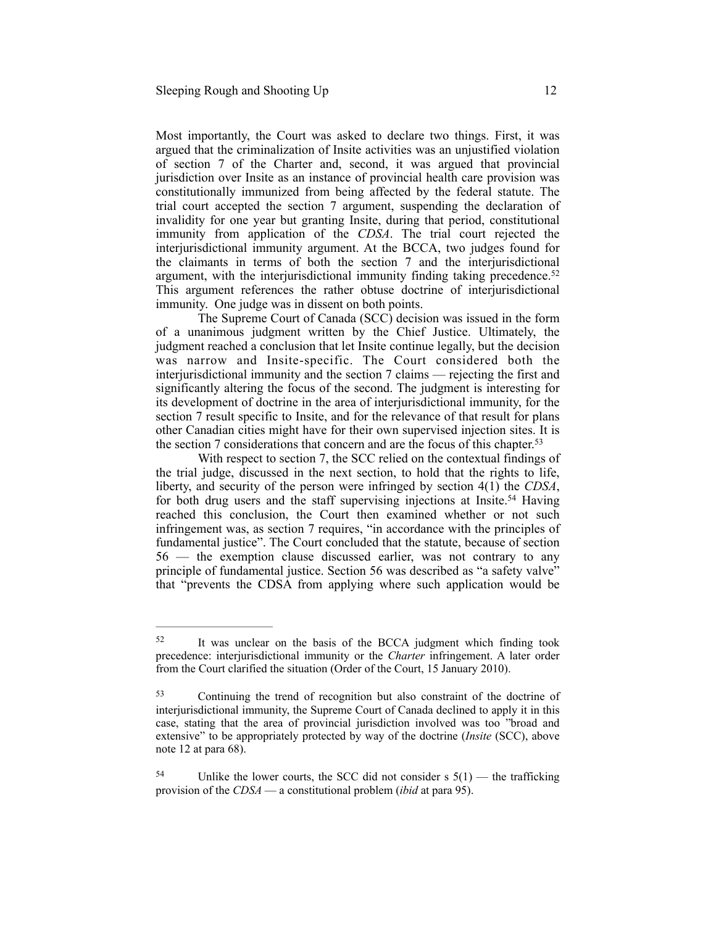Most importantly, the Court was asked to declare two things. First, it was argued that the criminalization of Insite activities was an unjustified violation of section 7 of the Charter and, second, it was argued that provincial jurisdiction over Insite as an instance of provincial health care provision was constitutionally immunized from being affected by the federal statute. The trial court accepted the section 7 argument, suspending the declaration of invalidity for one year but granting Insite, during that period, constitutional immunity from application of the *CDSA*. The trial court rejected the interjurisdictional immunity argument. At the BCCA, two judges found for the claimants in terms of both the section 7 and the interjurisdictional argument, with the interjurisdictional immunity finding taking precedence.<sup>52</sup> This argument references the rather obtuse doctrine of interjurisdictional immunity. One judge was in dissent on both points.

The Supreme Court of Canada (SCC) decision was issued in the form of a unanimous judgment written by the Chief Justice. Ultimately, the judgment reached a conclusion that let Insite continue legally, but the decision was narrow and Insite-specific. The Court considered both the interjurisdictional immunity and the section 7 claims — rejecting the first and significantly altering the focus of the second. The judgment is interesting for its development of doctrine in the area of interjurisdictional immunity, for the section 7 result specific to Insite, and for the relevance of that result for plans other Canadian cities might have for their own supervised injection sites. It is the section 7 considerations that concern and are the focus of this chapter.<sup>53</sup>

With respect to section 7, the SCC relied on the contextual findings of the trial judge, discussed in the next section, to hold that the rights to life, liberty, and security of the person were infringed by section 4(1) the *CDSA*, for both drug users and the staff supervising injections at Insite.<sup>54</sup> Having reached this conclusion, the Court then examined whether or not such infringement was, as section 7 requires, "in accordance with the principles of fundamental justice". The Court concluded that the statute, because of section 56 — the exemption clause discussed earlier, was not contrary to any principle of fundamental justice. Section 56 was described as "a safety valve" that "prevents the CDSA from applying where such application would be

<sup>&</sup>lt;sup>52</sup> It was unclear on the basis of the BCCA judgment which finding took precedence: interjurisdictional immunity or the *Charter* infringement. A later order from the Court clarified the situation (Order of the Court, 15 January 2010).

Continuing the trend of recognition but also constraint of the doctrine of 53 interjurisdictional immunity, the Supreme Court of Canada declined to apply it in this case, stating that the area of provincial jurisdiction involved was too "broad and extensive" to be appropriately protected by way of the doctrine (*Insite* (SCC), above note 12 at para 68).

<sup>&</sup>lt;sup>54</sup> Unlike the lower courts, the SCC did not consider s  $5(1)$  — the trafficking provision of the *CDSA* — a constitutional problem (*ibid* at para 95).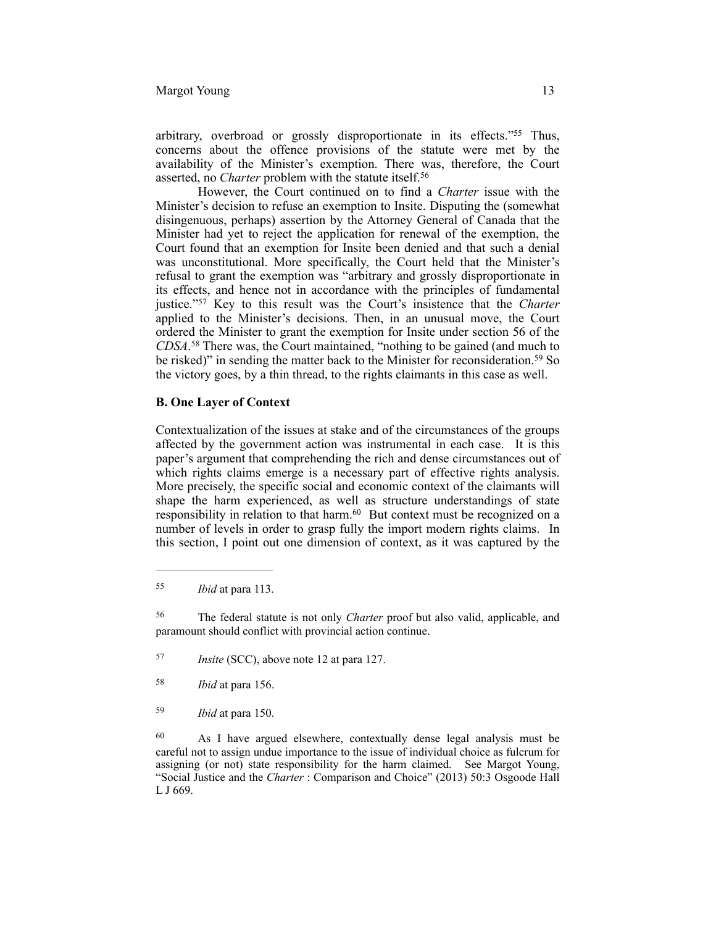#### Margot Young 13

arbitrary, overbroad or grossly disproportionate in its effects."<sup>55</sup> Thus, concerns about the offence provisions of the statute were met by the availability of the Minister's exemption. There was, therefore, the Court asserted, no *Charter* problem with the statute itself.<sup>56</sup>

However, the Court continued on to find a *Charter* issue with the Minister's decision to refuse an exemption to Insite. Disputing the (somewhat disingenuous, perhaps) assertion by the Attorney General of Canada that the Minister had yet to reject the application for renewal of the exemption, the Court found that an exemption for Insite been denied and that such a denial was unconstitutional. More specifically, the Court held that the Minister's refusal to grant the exemption was "arbitrary and grossly disproportionate in its effects, and hence not in accordance with the principles of fundamental justice."<sup>57</sup> Key to this result was the Court's insistence that the *Charter* applied to the Minister's decisions. Then, in an unusual move, the Court ordered the Minister to grant the exemption for Insite under section 56 of the *CDSA*.<sup>58</sup> There was, the Court maintained, "nothing to be gained (and much to be risked)" in sending the matter back to the Minister for reconsideration.<sup>59</sup> So the victory goes, by a thin thread, to the rights claimants in this case as well.

#### **B. One Layer of Context**

Contextualization of the issues at stake and of the circumstances of the groups affected by the government action was instrumental in each case. It is this paper's argument that comprehending the rich and dense circumstances out of which rights claims emerge is a necessary part of effective rights analysis. More precisely, the specific social and economic context of the claimants will shape the harm experienced, as well as structure understandings of state responsibility in relation to that harm. $60$  But context must be recognized on a number of levels in order to grasp fully the import modern rights claims. In this section, I point out one dimension of context, as it was captured by the

- *Insite* (SCC), above note 12 at para 127.
- *Ibid* at para 156. <sup>58</sup>
- *Ibid* at para 150. <sup>59</sup>

*Ibid* at para 113. <sup>55</sup>

The federal statute is not only *Charter* proof but also valid, applicable, and 56 paramount should conflict with provincial action continue.

 $60$  As I have argued elsewhere, contextually dense legal analysis must be careful not to assign undue importance to the issue of individual choice as fulcrum for assigning (or not) state responsibility for the harm claimed. See Margot Young, "Social Justice and the *Charter* : Comparison and Choice" (2013) 50:3 Osgoode Hall L J 669.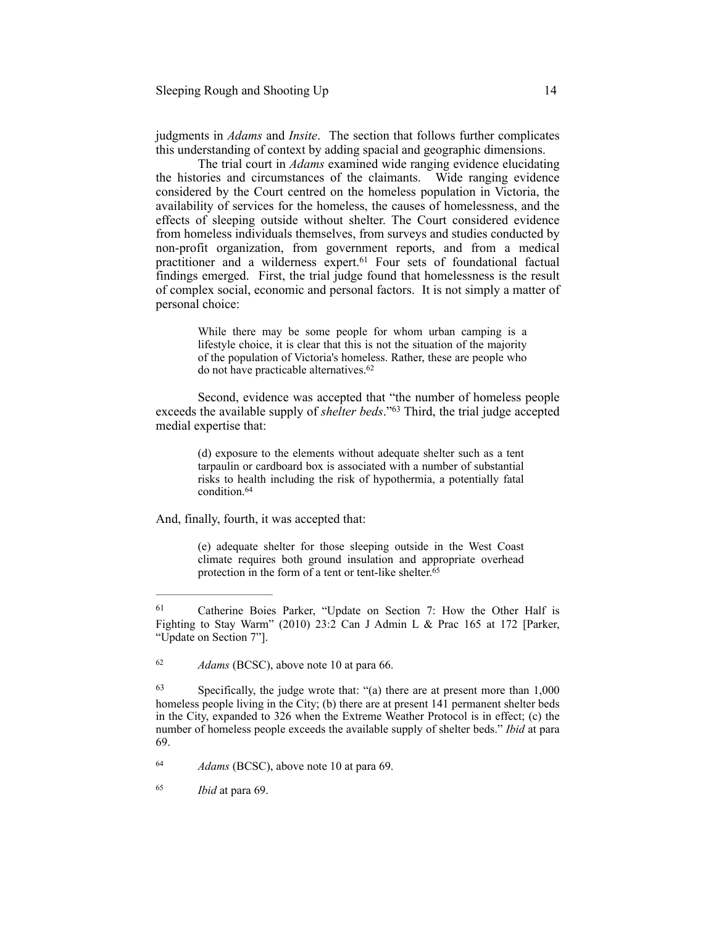judgments in *Adams* and *Insite*. The section that follows further complicates this understanding of context by adding spacial and geographic dimensions.

The trial court in *Adams* examined wide ranging evidence elucidating the histories and circumstances of the claimants. Wide ranging evidence considered by the Court centred on the homeless population in Victoria, the availability of services for the homeless, the causes of homelessness, and the effects of sleeping outside without shelter. The Court considered evidence from homeless individuals themselves, from surveys and studies conducted by non-profit organization, from government reports, and from a medical practitioner and a wilderness expert.<sup>61</sup> Four sets of foundational factual findings emerged. First, the trial judge found that homelessness is the result of complex social, economic and personal factors. It is not simply a matter of personal choice:

> While there may be some people for whom urban camping is a lifestyle choice, it is clear that this is not the situation of the majority of the population of Victoria's homeless. Rather, these are people who do not have practicable alternatives. 62

Second, evidence was accepted that "the number of homeless people exceeds the available supply of *shelter beds*."<sup>63</sup> Third, the trial judge accepted medial expertise that:

> (d) exposure to the elements without adequate shelter such as a tent tarpaulin or cardboard box is associated with a number of substantial risks to health including the risk of hypothermia, a potentially fatal condition 64

And, finally, fourth, it was accepted that:

(e) adequate shelter for those sleeping outside in the West Coast climate requires both ground insulation and appropriate overhead protection in the form of a tent or tent-like shelter.<sup>65</sup>

<sup>&</sup>lt;sup>61</sup> Catherine Boies Parker, "Update on Section 7: How the Other Half is Fighting to Stay Warm" (2010) 23:2 Can J Admin L & Prac 165 at 172 [Parker, "Update on Section 7"].

<sup>&</sup>lt;sup>62</sup> *Adams* (BCSC), above note 10 at para 66.

 $\frac{63}{2}$  Specifically, the judge wrote that: "(a) there are at present more than 1,000 homeless people living in the City; (b) there are at present 141 permanent shelter beds in the City, expanded to 326 when the Extreme Weather Protocol is in effect; (c) the number of homeless people exceeds the available supply of shelter beds." *Ibid* at para 69.

*Adams* (BCSC), above note 10 at para 69. <sup>64</sup>

*Ibid* at para 69. <sup>65</sup>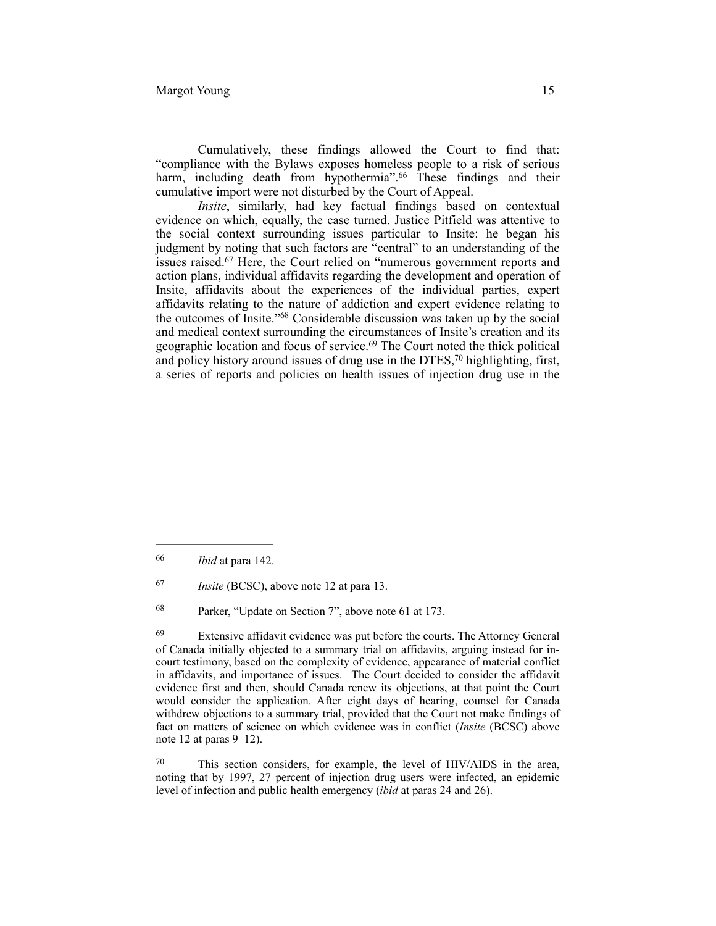Cumulatively, these findings allowed the Court to find that: "compliance with the Bylaws exposes homeless people to a risk of serious harm, including death from hypothermia".<sup>66</sup> These findings and their cumulative import were not disturbed by the Court of Appeal.

*Insite*, similarly, had key factual findings based on contextual evidence on which, equally, the case turned. Justice Pitfield was attentive to the social context surrounding issues particular to Insite: he began his judgment by noting that such factors are "central" to an understanding of the issues raised.<sup>67</sup> Here, the Court relied on "numerous government reports and action plans, individual affidavits regarding the development and operation of Insite, affidavits about the experiences of the individual parties, expert affidavits relating to the nature of addiction and expert evidence relating to the outcomes of Insite."<sup>68</sup> Considerable discussion was taken up by the social and medical context surrounding the circumstances of Insite's creation and its geographic location and focus of service.<sup>69</sup> The Court noted the thick political and policy history around issues of drug use in the DTES, $70$  highlighting, first, a series of reports and policies on health issues of injection drug use in the

*Ibid* at para 142. <sup>66</sup>

*Insite* (BCSC), above note 12 at para 13.

<sup>&</sup>lt;sup>68</sup> Parker, "Update on Section 7", above note 61 at 173.

 $^{69}$  Extensive affidavit evidence was put before the courts. The Attorney General of Canada initially objected to a summary trial on affidavits, arguing instead for incourt testimony, based on the complexity of evidence, appearance of material conflict in affidavits, and importance of issues. The Court decided to consider the affidavit evidence first and then, should Canada renew its objections, at that point the Court would consider the application. After eight days of hearing, counsel for Canada withdrew objections to a summary trial, provided that the Court not make findings of fact on matters of science on which evidence was in conflict (*Insite* (BCSC) above note 12 at paras 9–12).

 $70$  This section considers, for example, the level of HIV/AIDS in the area, noting that by 1997, 27 percent of injection drug users were infected, an epidemic level of infection and public health emergency (*ibid* at paras 24 and 26).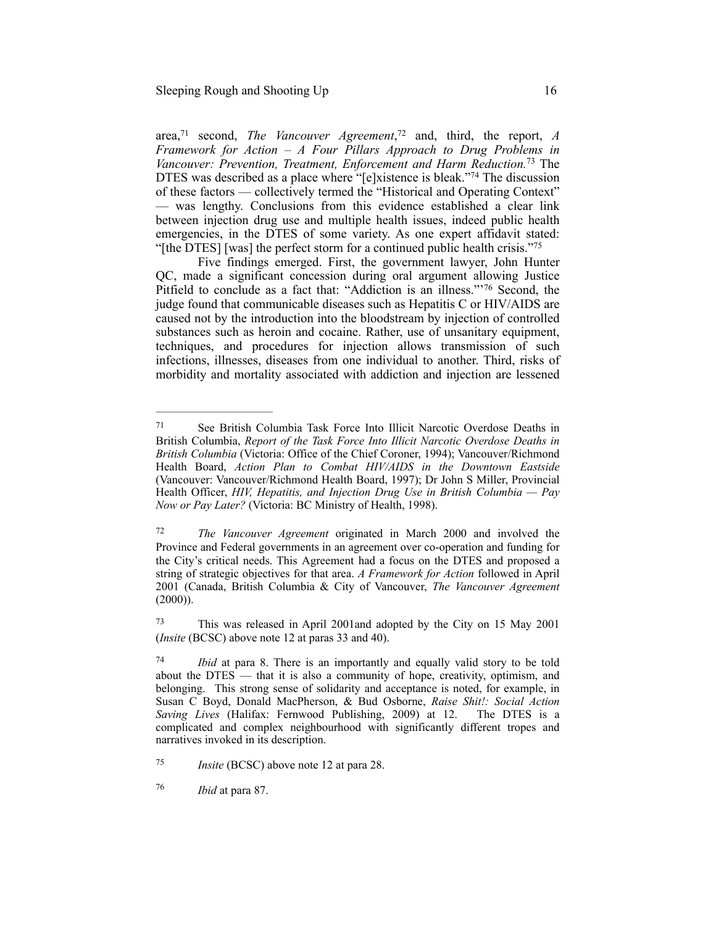area,<sup>71</sup> second, *The Vancouver Agreement*,<sup>72</sup> and, third, the report, *A Framework for Action – A Four Pillars Approach to Drug Problems in Vancouver: Prevention, Treatment, Enforcement and Harm Reduction.*<sup>73</sup> The DTES was described as a place where "[e]xistence is bleak."<sup>74</sup> The discussion of these factors — collectively termed the "Historical and Operating Context" — was lengthy. Conclusions from this evidence established a clear link between injection drug use and multiple health issues, indeed public health emergencies, in the DTES of some variety. As one expert affidavit stated: "[the DTES] [was] the perfect storm for a continued public health crisis."75

Five findings emerged. First, the government lawyer, John Hunter QC, made a significant concession during oral argument allowing Justice Pitfield to conclude as a fact that: "Addiction is an illness."<sup>76</sup> Second, the judge found that communicable diseases such as Hepatitis C or HIV/AIDS are caused not by the introduction into the bloodstream by injection of controlled substances such as heroin and cocaine. Rather, use of unsanitary equipment, techniques, and procedures for injection allows transmission of such infections, illnesses, diseases from one individual to another. Third, risks of morbidity and mortality associated with addiction and injection are lessened

See British Columbia Task Force Into Illicit Narcotic Overdose Deaths in 71 British Columbia, *Report of the Task Force Into Illicit Narcotic Overdose Deaths in British Columbia* (Victoria: Office of the Chief Coroner, 1994); Vancouver/Richmond Health Board, *Action Plan to Combat HIV/AIDS in the Downtown Eastside*  (Vancouver: Vancouver/Richmond Health Board, 1997); Dr John S Miller, Provincial Health Officer, *HIV, Hepatitis, and Injection Drug Use in British Columbia — Pay Now or Pay Later?* (Victoria: BC Ministry of Health, 1998).

<sup>&</sup>lt;sup>72</sup> *The Vancouver Agreement* originated in March 2000 and involved the Province and Federal governments in an agreement over co-operation and funding for the City's critical needs. This Agreement had a focus on the DTES and proposed a string of strategic objectives for that area. *A Framework for Action* followed in April 2001 (Canada, British Columbia & City of Vancouver, *The Vancouver Agreement*   $(2000)$ ).

This was released in April 2001and adopted by the City on 15 May 2001 73 (*Insite* (BCSC) above note 12 at paras 33 and 40).

*Ibid* at para 8. There is an importantly and equally valid story to be told about the DTES — that it is also a community of hope, creativity, optimism, and belonging. This strong sense of solidarity and acceptance is noted, for example, in Susan C Boyd, Donald MacPherson, & Bud Osborne, *Raise Shit!: Social Action Saving Lives* (Halifax: Fernwood Publishing, 2009) at 12. The DTES is a complicated and complex neighbourhood with significantly different tropes and narratives invoked in its description.

*Insite* (BCSC) above note 12 at para 28.

*Ibid* at para 87. <sup>76</sup>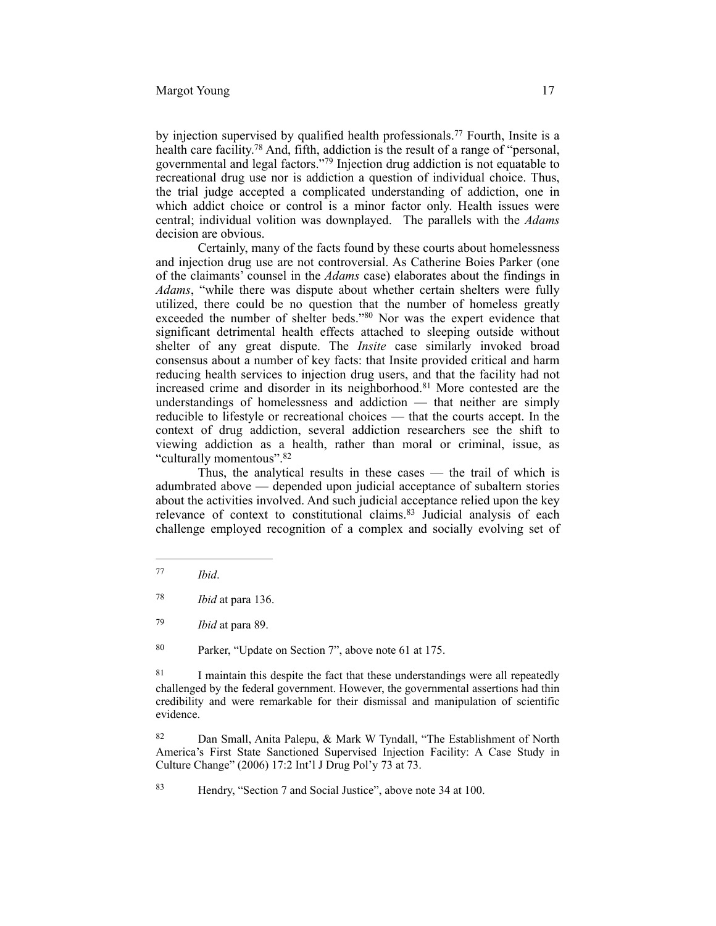by injection supervised by qualified health professionals.<sup>77</sup> Fourth, Insite is a health care facility.<sup>78</sup> And, fifth, addiction is the result of a range of "personal, governmental and legal factors."<sup>79</sup> Injection drug addiction is not equatable to recreational drug use nor is addiction a question of individual choice. Thus, the trial judge accepted a complicated understanding of addiction, one in which addict choice or control is a minor factor only. Health issues were central; individual volition was downplayed. The parallels with the *Adams* decision are obvious.

Certainly, many of the facts found by these courts about homelessness and injection drug use are not controversial. As Catherine Boies Parker (one of the claimants' counsel in the *Adams* case) elaborates about the findings in *Adams*, "while there was dispute about whether certain shelters were fully utilized, there could be no question that the number of homeless greatly exceeded the number of shelter beds."80 Nor was the expert evidence that significant detrimental health effects attached to sleeping outside without shelter of any great dispute. The *Insite* case similarly invoked broad consensus about a number of key facts: that Insite provided critical and harm reducing health services to injection drug users, and that the facility had not increased crime and disorder in its neighborhood.<sup>81</sup> More contested are the understandings of homelessness and addiction — that neither are simply reducible to lifestyle or recreational choices — that the courts accept. In the context of drug addiction, several addiction researchers see the shift to viewing addiction as a health, rather than moral or criminal, issue, as "culturally momentous".82

Thus, the analytical results in these cases — the trail of which is adumbrated above — depended upon judicial acceptance of subaltern stories about the activities involved. And such judicial acceptance relied upon the key relevance of context to constitutional claims. $83$  Judicial analysis of each challenge employed recognition of a complex and socially evolving set of

*Ibid*. <sup>77</sup>

*Ibid* at para 136. <sup>78</sup>

*Ibid* at para 89. <sup>79</sup>

<sup>&</sup>lt;sup>80</sup> Parker, "Update on Section 7", above note 61 at 175.

<sup>&</sup>lt;sup>81</sup> I maintain this despite the fact that these understandings were all repeatedly challenged by the federal government. However, the governmental assertions had thin credibility and were remarkable for their dismissal and manipulation of scientific evidence.

<sup>&</sup>lt;sup>82</sup> Dan Small, Anita Palepu, & Mark W Tyndall, "The Establishment of North America's First State Sanctioned Supervised Injection Facility: A Case Study in Culture Change" (2006) 17:2 Int'l J Drug Pol'y 73 at 73.

<sup>&</sup>lt;sup>83</sup> Hendry, "Section 7 and Social Justice", above note 34 at 100.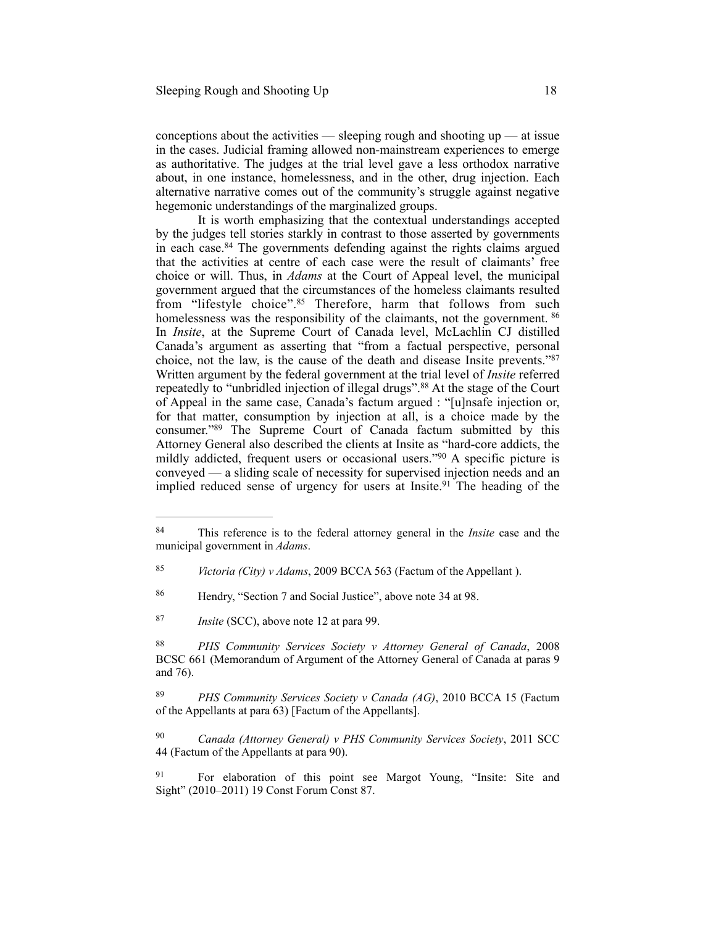conceptions about the activities — sleeping rough and shooting  $up$  — at issue in the cases. Judicial framing allowed non-mainstream experiences to emerge as authoritative. The judges at the trial level gave a less orthodox narrative about, in one instance, homelessness, and in the other, drug injection. Each alternative narrative comes out of the community's struggle against negative hegemonic understandings of the marginalized groups.

It is worth emphasizing that the contextual understandings accepted by the judges tell stories starkly in contrast to those asserted by governments in each case.  $84$  The governments defending against the rights claims argued that the activities at centre of each case were the result of claimants' free choice or will. Thus, in *Adams* at the Court of Appeal level, the municipal government argued that the circumstances of the homeless claimants resulted from "lifestyle choice".<sup>85</sup> Therefore, harm that follows from such homelessness was the responsibility of the claimants, not the government. <sup>86</sup> In *Insite*, at the Supreme Court of Canada level, McLachlin CJ distilled Canada's argument as asserting that "from a factual perspective, personal choice, not the law, is the cause of the death and disease Insite prevents."87 Written argument by the federal government at the trial level of *Insite* referred repeatedly to "unbridled injection of illegal drugs".<sup>88</sup> At the stage of the Court of Appeal in the same case, Canada's factum argued : "[u]nsafe injection or, for that matter, consumption by injection at all, is a choice made by the consumer."<sup>89</sup> The Supreme Court of Canada factum submitted by this Attorney General also described the clients at Insite as "hard-core addicts, the mildly addicted, frequent users or occasional users." $90$  A specific picture is conveyed — a sliding scale of necessity for supervised injection needs and an implied reduced sense of urgency for users at Insite.<sup>91</sup> The heading of the

<sup>&</sup>lt;sup>84</sup> This reference is to the federal attorney general in the *Insite* case and the municipal government in *Adams*.

*Victoria (City) v Adams*, 2009 BCCA 563 (Factum of the Appellant ). <sup>85</sup>

<sup>&</sup>lt;sup>86</sup> Hendry, "Section 7 and Social Justice", above note 34 at 98.

<sup>&</sup>lt;sup>87</sup> *Insite* (SCC), above note 12 at para 99.

<sup>&</sup>lt;sup>88</sup> PHS Community Services Society v Attorney General of Canada, 2008 BCSC 661 (Memorandum of Argument of the Attorney General of Canada at paras 9 and 76).

<sup>&</sup>lt;sup>89</sup> PHS Community Services Society v Canada (AG), 2010 BCCA 15 (Factum of the Appellants at para 63) [Factum of the Appellants].

<sup>&</sup>lt;sup>90</sup> Canada (Attorney General) v PHS Community Services Society, 2011 SCC 44 (Factum of the Appellants at para 90).

<sup>&</sup>lt;sup>91</sup> For elaboration of this point see Margot Young, "Insite: Site and Sight" (2010–2011) 19 Const Forum Const 87.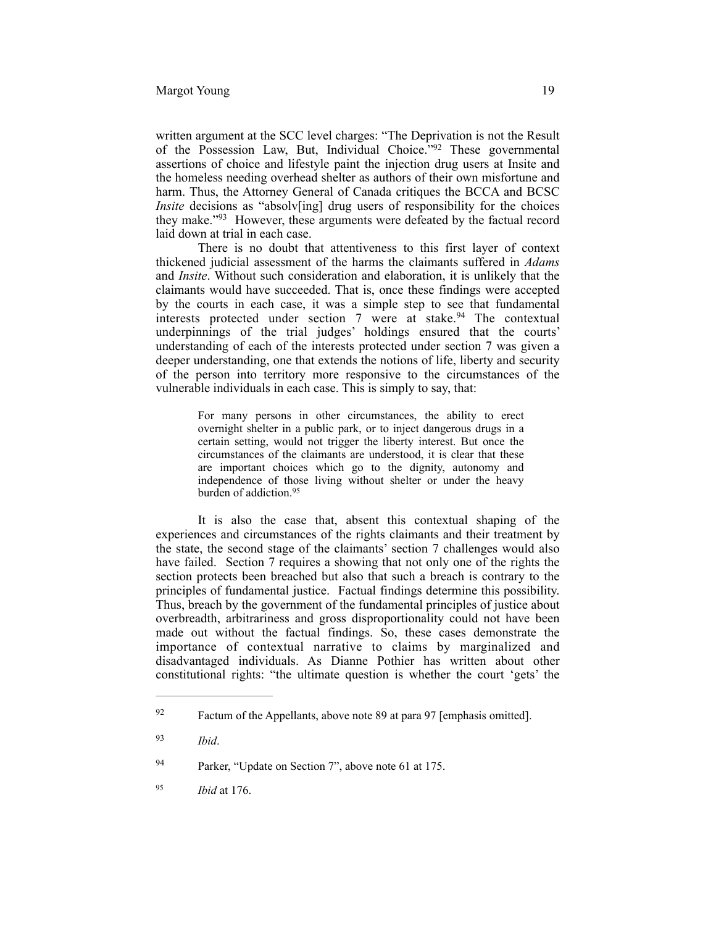written argument at the SCC level charges: "The Deprivation is not the Result of the Possession Law, But, Individual Choice.<sup>792</sup> These governmental assertions of choice and lifestyle paint the injection drug users at Insite and the homeless needing overhead shelter as authors of their own misfortune and harm. Thus, the Attorney General of Canada critiques the BCCA and BCSC *Insite* decisions as "absolv[ing] drug users of responsibility for the choices they make."<sup>93</sup> However, these arguments were defeated by the factual record laid down at trial in each case.

There is no doubt that attentiveness to this first layer of context thickened judicial assessment of the harms the claimants suffered in *Adams* and *Insite*. Without such consideration and elaboration, it is unlikely that the claimants would have succeeded. That is, once these findings were accepted by the courts in each case, it was a simple step to see that fundamental interests protected under section  $7$  were at stake.<sup>94</sup> The contextual underpinnings of the trial judges' holdings ensured that the courts' understanding of each of the interests protected under section 7 was given a deeper understanding, one that extends the notions of life, liberty and security of the person into territory more responsive to the circumstances of the vulnerable individuals in each case. This is simply to say, that:

> For many persons in other circumstances, the ability to erect overnight shelter in a public park, or to inject dangerous drugs in a certain setting, would not trigger the liberty interest. But once the circumstances of the claimants are understood, it is clear that these are important choices which go to the dignity, autonomy and independence of those living without shelter or under the heavy burden of addiction.<sup>95</sup>

It is also the case that, absent this contextual shaping of the experiences and circumstances of the rights claimants and their treatment by the state, the second stage of the claimants' section 7 challenges would also have failed. Section 7 requires a showing that not only one of the rights the section protects been breached but also that such a breach is contrary to the principles of fundamental justice. Factual findings determine this possibility. Thus, breach by the government of the fundamental principles of justice about overbreadth, arbitrariness and gross disproportionality could not have been made out without the factual findings. So, these cases demonstrate the importance of contextual narrative to claims by marginalized and disadvantaged individuals. As Dianne Pothier has written about other constitutional rights: "the ultimate question is whether the court 'gets' the

 $\frac{92}{92}$  Factum of the Appellants, above note 89 at para 97 [emphasis omitted].

*Ibid*. <sup>93</sup>

<sup>&</sup>lt;sup>94</sup> Parker, "Update on Section 7", above note 61 at 175.

*Ibid* at 176. <sup>95</sup>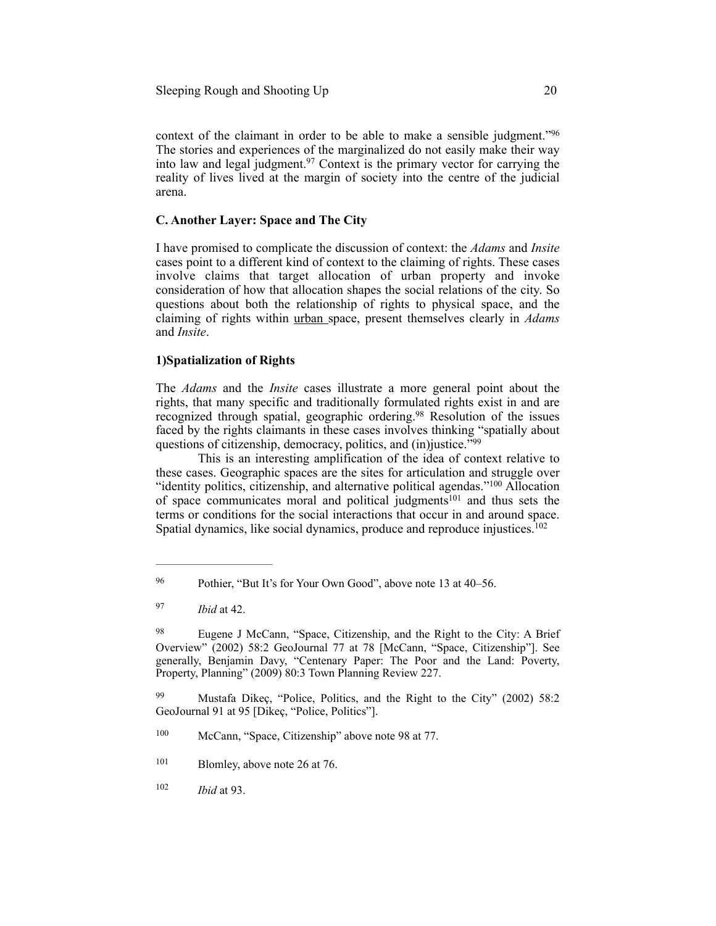context of the claimant in order to be able to make a sensible judgment."96 The stories and experiences of the marginalized do not easily make their way into law and legal judgment.<sup>97</sup> Context is the primary vector for carrying the reality of lives lived at the margin of society into the centre of the judicial arena.

### **C. Another Layer: Space and The City**

I have promised to complicate the discussion of context: the *Adams* and *Insite* cases point to a different kind of context to the claiming of rights. These cases involve claims that target allocation of urban property and invoke consideration of how that allocation shapes the social relations of the city. So questions about both the relationship of rights to physical space, and the claiming of rights within urban space, present themselves clearly in *Adams* and *Insite*.

#### **1)Spatialization of Rights**

The *Adams* and the *Insite* cases illustrate a more general point about the rights, that many specific and traditionally formulated rights exist in and are recognized through spatial, geographic ordering.<sup>98</sup> Resolution of the issues faced by the rights claimants in these cases involves thinking "spatially about questions of citizenship, democracy, politics, and (in)justice."<sup>99</sup>

This is an interesting amplification of the idea of context relative to these cases. Geographic spaces are the sites for articulation and struggle over "identity politics, citizenship, and alternative political agendas."<sup>100</sup> Allocation of space communicates moral and political judgments<sup>101</sup> and thus sets the terms or conditions for the social interactions that occur in and around space. Spatial dynamics, like social dynamics, produce and reproduce injustices.<sup>102</sup>

<sup>&</sup>lt;sup>96</sup> Pothier, "But It's for Your Own Good", above note 13 at 40–56.

*Ibid* at 42. <sup>97</sup>

<sup>&</sup>lt;sup>98</sup> Eugene J McCann, "Space, Citizenship, and the Right to the City: A Brief Overview" (2002) 58:2 GeoJournal 77 at 78 [McCann, "Space, Citizenship"]. See generally, Benjamin Davy, "Centenary Paper: The Poor and the Land: Poverty, Property, Planning" (2009) 80:3 Town Planning Review 227.

<sup>&</sup>lt;sup>99</sup> Mustafa Dikeç, "Police, Politics, and the Right to the City" (2002) 58:2 GeoJournal 91 at 95 [Dikeç, "Police, Politics"].

 $100$  McCann, "Space, Citizenship" above note 98 at 77.

 $101$  Blomley, above note 26 at 76.

<sup>102</sup> *Ibid* at 93.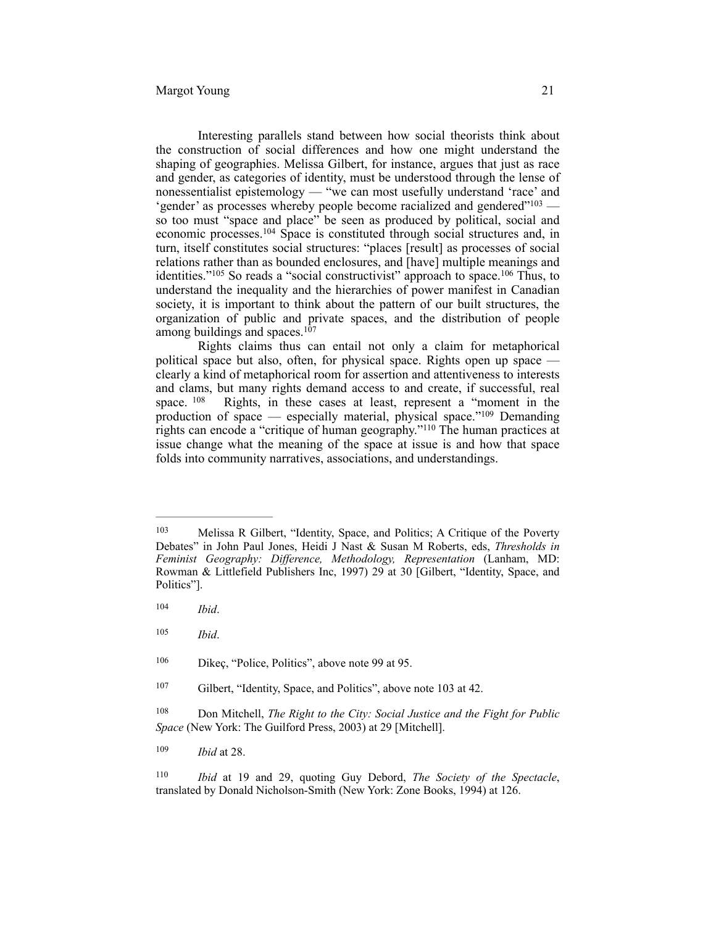Interesting parallels stand between how social theorists think about the construction of social differences and how one might understand the shaping of geographies. Melissa Gilbert, for instance, argues that just as race and gender, as categories of identity, must be understood through the lense of nonessentialist epistemology — "we can most usefully understand 'race' and 'gender' as processes whereby people become racialized and gendered"<sup>103</sup> so too must "space and place" be seen as produced by political, social and economic processes.<sup>104</sup> Space is constituted through social structures and, in turn, itself constitutes social structures: "places [result] as processes of social relations rather than as bounded enclosures, and [have] multiple meanings and identities." $105$  So reads a "social constructivist" approach to space. $106$  Thus, to understand the inequality and the hierarchies of power manifest in Canadian society, it is important to think about the pattern of our built structures, the organization of public and private spaces, and the distribution of people among buildings and spaces.107

Rights claims thus can entail not only a claim for metaphorical political space but also, often, for physical space. Rights open up space clearly a kind of metaphorical room for assertion and attentiveness to interests and clams, but many rights demand access to and create, if successful, real space.  $108$  Rights, in these cases at least, represent a "moment in the production of space — especially material, physical space." $109$  Demanding rights can encode a "critique of human geography."<sup>110</sup> The human practices at issue change what the meaning of the space at issue is and how that space folds into community narratives, associations, and understandings.

<sup>&</sup>lt;sup>103</sup> Melissa R Gilbert, "Identity, Space, and Politics; A Critique of the Poverty Debates" in John Paul Jones, Heidi J Nast & Susan M Roberts, eds, *Thresholds in Feminist Geography: Difference, Methodology, Representation* (Lanham, MD: Rowman & Littlefield Publishers Inc, 1997) 29 at 30 [Gilbert, "Identity, Space, and Politics"].

*Ibid*. <sup>104</sup>

*Ibid*. <sup>105</sup>

 $106$  Dikec, "Police, Politics", above note 99 at 95.

<sup>&</sup>lt;sup>107</sup> Gilbert, "Identity, Space, and Politics", above note 103 at 42.

<sup>&</sup>lt;sup>108</sup> Don Mitchell, *The Right to the City: Social Justice and the Fight for Public Space* (New York: The Guilford Press, 2003) at 29 [Mitchell].

<sup>109</sup> *Ibid* at 28.

*Ibid* at 19 and 29, quoting Guy Debord, *The Society of the Spectacle*, 110 translated by Donald Nicholson-Smith (New York: Zone Books, 1994) at 126.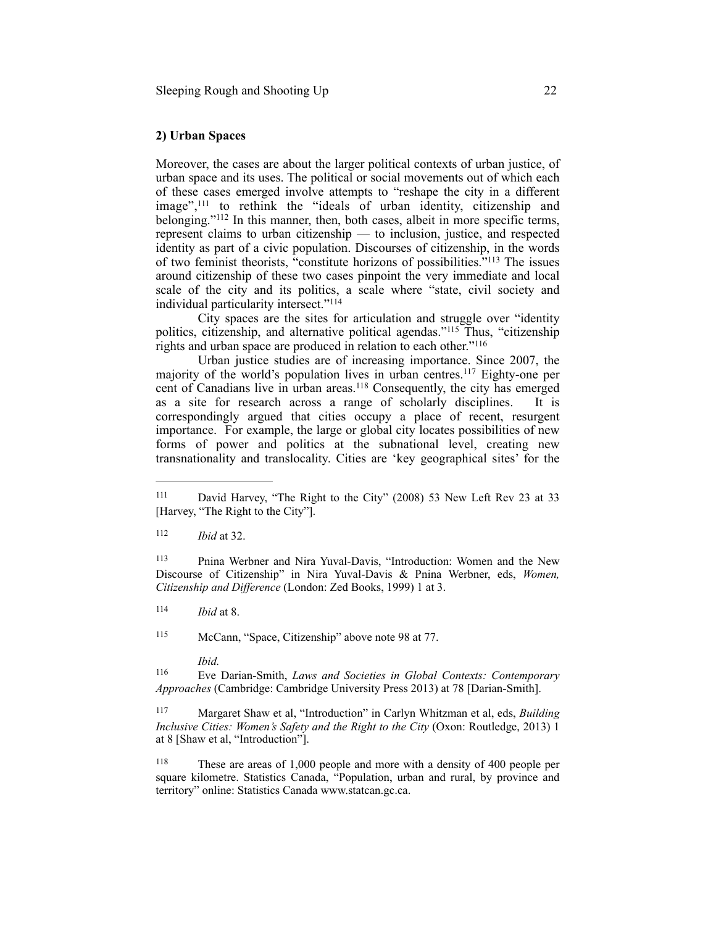#### **2) Urban Spaces**

Moreover, the cases are about the larger political contexts of urban justice, of urban space and its uses. The political or social movements out of which each of these cases emerged involve attempts to "reshape the city in a different image",<sup>111</sup> to rethink the "ideals of urban identity, citizenship and belonging."<sup>112</sup> In this manner, then, both cases, albeit in more specific terms, represent claims to urban citizenship — to inclusion, justice, and respected identity as part of a civic population. Discourses of citizenship, in the words of two feminist theorists, "constitute horizons of possibilities."<sup>113</sup> The issues around citizenship of these two cases pinpoint the very immediate and local scale of the city and its politics, a scale where "state, civil society and individual particularity intersect."114

City spaces are the sites for articulation and struggle over "identity politics, citizenship, and alternative political agendas."<sup>115</sup> Thus, "citizenship rights and urban space are produced in relation to each other."116

Urban justice studies are of increasing importance. Since 2007, the majority of the world's population lives in urban centres.<sup>117</sup> Eighty-one per cent of Canadians live in urban areas.<sup>118</sup> Consequently, the city has emerged as a site for research across a range of scholarly disciplines. It is correspondingly argued that cities occupy a place of recent, resurgent importance. For example, the large or global city locates possibilities of new forms of power and politics at the subnational level, creating new transnationality and translocality. Cities are 'key geographical sites' for the

112 *Ibid* at 32.

<sup>113</sup> Pnina Werbner and Nira Yuval-Davis, "Introduction: Women and the New Discourse of Citizenship" in Nira Yuval-Davis & Pnina Werbner, eds, *Women, Citizenship and Difference* (London: Zed Books, 1999) 1 at 3.

 $114$  *Ibid* at 8.

115 McCann, "Space, Citizenship" above note 98 at 77.

*Ibid.*

 Eve Darian-Smith, *Laws and Societies in Global Contexts: Contemporary* <sup>116</sup> *Approaches* (Cambridge: Cambridge University Press 2013) at 78 [Darian-Smith].

 Margaret Shaw et al, "Introduction" in Carlyn Whitzman et al, eds, *Building* <sup>117</sup> *Inclusive Cities: Women's Safety and the Right to the City* (Oxon: Routledge, 2013) 1 at 8 [Shaw et al, "Introduction"].

<sup>118</sup> These are areas of 1,000 people and more with a density of 400 people per square kilometre. Statistics Canada, "Population, urban and rural, by province and territory" online: Statistics Canada www.statcan.gc.ca.

<sup>&</sup>lt;sup>111</sup> David Harvey, "The Right to the City" (2008) 53 New Left Rev 23 at 33 [Harvey, "The Right to the City"].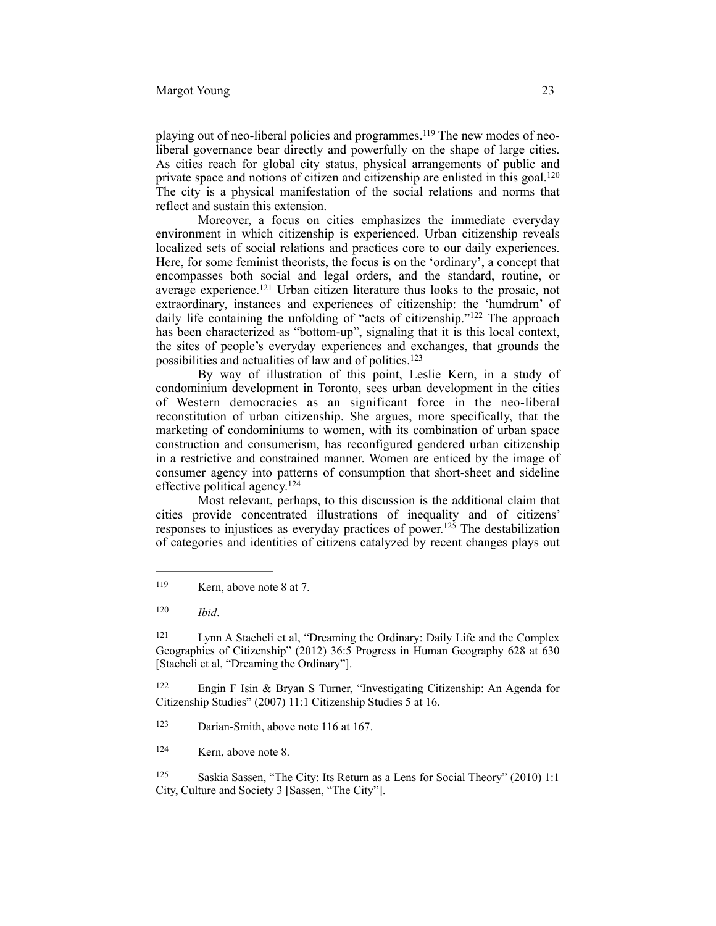playing out of neo-liberal policies and programmes.<sup>119</sup> The new modes of neoliberal governance bear directly and powerfully on the shape of large cities. As cities reach for global city status, physical arrangements of public and private space and notions of citizen and citizenship are enlisted in this goal.120 The city is a physical manifestation of the social relations and norms that reflect and sustain this extension.

Moreover, a focus on cities emphasizes the immediate everyday environment in which citizenship is experienced. Urban citizenship reveals localized sets of social relations and practices core to our daily experiences. Here, for some feminist theorists, the focus is on the 'ordinary', a concept that encompasses both social and legal orders, and the standard, routine, or average experience.<sup>121</sup> Urban citizen literature thus looks to the prosaic, not extraordinary, instances and experiences of citizenship: the 'humdrum' of daily life containing the unfolding of "acts of citizenship." $122$  The approach has been characterized as "bottom-up", signaling that it is this local context, the sites of people's everyday experiences and exchanges, that grounds the possibilities and actualities of law and of politics.123

By way of illustration of this point, Leslie Kern, in a study of condominium development in Toronto, sees urban development in the cities of Western democracies as an significant force in the neo-liberal reconstitution of urban citizenship. She argues, more specifically, that the marketing of condominiums to women, with its combination of urban space construction and consumerism, has reconfigured gendered urban citizenship in a restrictive and constrained manner. Women are enticed by the image of consumer agency into patterns of consumption that short-sheet and sideline effective political agency.124

Most relevant, perhaps, to this discussion is the additional claim that cities provide concentrated illustrations of inequality and of citizens' responses to injustices as everyday practices of power.<sup>125</sup> The destabilization of categories and identities of citizens catalyzed by recent changes plays out

 Lynn A Staeheli et al, "Dreaming the Ordinary: Daily Life and the Complex 121 Geographies of Citizenship" (2012) 36:5 Progress in Human Geography 628 at 630 [Staeheli et al, "Dreaming the Ordinary"].

 Engin F Isin & Bryan S Turner, "Investigating Citizenship: An Agenda for 122 Citizenship Studies" (2007) 11:1 Citizenship Studies 5 at 16.

<sup>123</sup> Darian-Smith, above note 116 at 167.

<sup>124</sup> Kern, above note 8.

<sup>125</sup> Saskia Sassen, "The City: Its Return as a Lens for Social Theory" (2010) 1:1 City, Culture and Society 3 [Sassen, "The City"].

 $N =$ Kern, above note 8 at 7.

*Ibid*. 120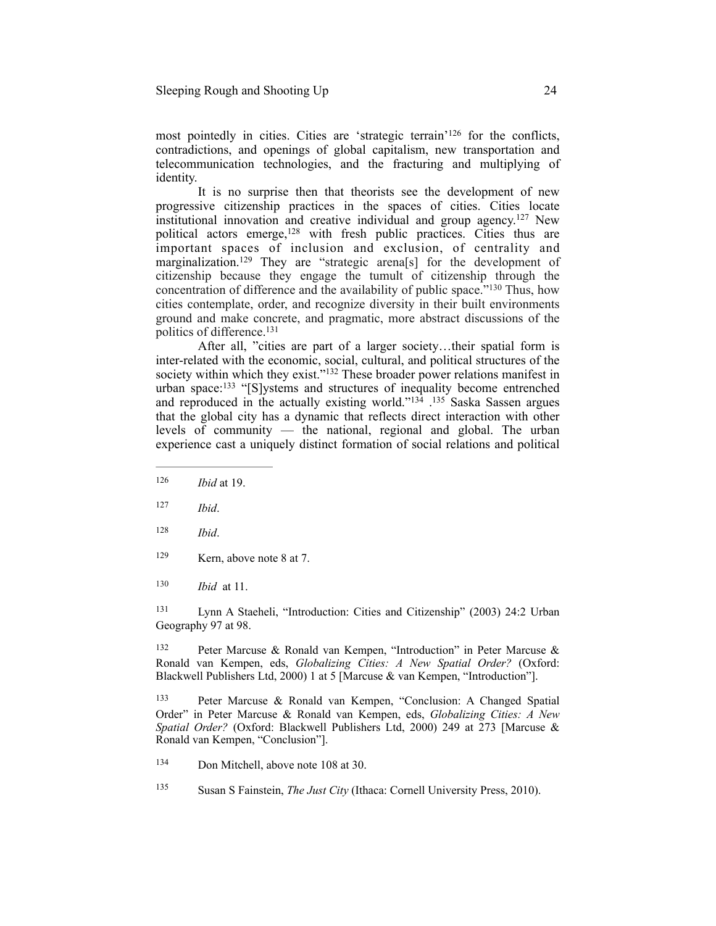most pointedly in cities. Cities are 'strategic terrain'<sup>126</sup> for the conflicts, contradictions, and openings of global capitalism, new transportation and telecommunication technologies, and the fracturing and multiplying of identity.

It is no surprise then that theorists see the development of new progressive citizenship practices in the spaces of cities. Cities locate institutional innovation and creative individual and group agency.<sup>127</sup> New political actors emerge,<sup>128</sup> with fresh public practices. Cities thus are important spaces of inclusion and exclusion, of centrality and marginalization.<sup>129</sup> They are "strategic arena[s] for the development of citizenship because they engage the tumult of citizenship through the concentration of difference and the availability of public space. $130$  Thus, how cities contemplate, order, and recognize diversity in their built environments ground and make concrete, and pragmatic, more abstract discussions of the politics of difference. 131

After all, "cities are part of a larger society…their spatial form is inter-related with the economic, social, cultural, and political structures of the society within which they exist."<sup>132</sup> These broader power relations manifest in urban space: <sup>133</sup> "[S]ystems and structures of inequality become entrenched and reproduced in the actually existing world." $134$   $135$  Saska Sassen argues that the global city has a dynamic that reflects direct interaction with other levels of community — the national, regional and global. The urban experience cast a uniquely distinct formation of social relations and political

- 126 *Ibid* at 19.
- *Ibid*. <sup>127</sup>
- *Ibid*. <sup>128</sup>
- <sup>129</sup> Kern, above note 8 at 7.
- 130 *Ibid* at 11.

 Lynn A Staeheli, "Introduction: Cities and Citizenship" (2003) 24:2 Urban 131 Geography 97 at 98.

<sup>132</sup> Peter Marcuse & Ronald van Kempen, "Introduction" in Peter Marcuse & Ronald van Kempen, eds, *Globalizing Cities: A New Spatial Order?* (Oxford: Blackwell Publishers Ltd, 2000) 1 at 5 [Marcuse & van Kempen, "Introduction"].

 Peter Marcuse & Ronald van Kempen, "Conclusion: A Changed Spatial 133 Order" in Peter Marcuse & Ronald van Kempen, eds, *Globalizing Cities: A New Spatial Order?* (Oxford: Blackwell Publishers Ltd, 2000) 249 at 273 [Marcuse & Ronald van Kempen, "Conclusion"].

- <sup>134</sup> Don Mitchell, above note 108 at 30.
- <sup>135</sup> Susan S Fainstein, *The Just City* (Ithaca: Cornell University Press, 2010).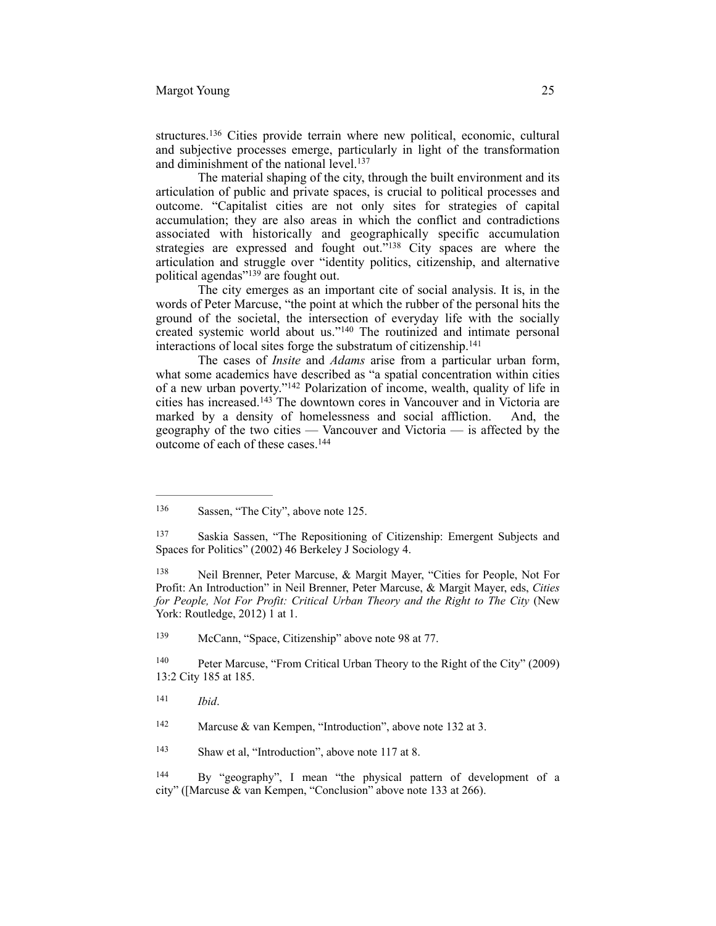structures.<sup>136</sup> Cities provide terrain where new political, economic, cultural and subjective processes emerge, particularly in light of the transformation and diminishment of the national level.<sup>137</sup>

The material shaping of the city, through the built environment and its articulation of public and private spaces, is crucial to political processes and outcome. "Capitalist cities are not only sites for strategies of capital accumulation; they are also areas in which the conflict and contradictions associated with historically and geographically specific accumulation strategies are expressed and fought out."<sup>138</sup> City spaces are where the articulation and struggle over "identity politics, citizenship, and alternative political agendas"<sup>139</sup> are fought out.

The city emerges as an important cite of social analysis. It is, in the words of Peter Marcuse, "the point at which the rubber of the personal hits the ground of the societal, the intersection of everyday life with the socially created systemic world about us."<sup>140</sup> The routinized and intimate personal interactions of local sites forge the substratum of citizenship.<sup>141</sup>

The cases of *Insite* and *Adams* arise from a particular urban form, what some academics have described as "a spatial concentration within cities of a new urban poverty." $142$  Polarization of income, wealth, quality of life in cities has increased.<sup>143</sup> The downtown cores in Vancouver and in Victoria are marked by a density of homelessness and social affliction. And, the geography of the two cities — Vancouver and Victoria — is affected by the outcome of each of these cases.<sup>144</sup>

<sup>139</sup> McCann, "Space, Citizenship" above note 98 at 77.

 Peter Marcuse, "From Critical Urban Theory to the Right of the City" (2009) 140 13:2 City 185 at 185.

<sup>143</sup> Shaw et al, "Introduction", above note 117 at 8.

144 By "geography", I mean "the physical pattern of development of a city" ([Marcuse & van Kempen, "Conclusion" above note 133 at 266).

<sup>&</sup>lt;sup>136</sup> Sassen, "The City", above note 125.

Saskia Sassen, "The Repositioning of Citizenship: Emergent Subjects and 137 Spaces for Politics" (2002) 46 Berkeley J Sociology 4.

<sup>138</sup> Neil Brenner, Peter Marcuse, & Margit Mayer, "Cities for People, Not For Profit: An Introduction" in Neil Brenner, Peter Marcuse, & Margit Mayer, eds, *Cities for People, Not For Profit: Critical Urban Theory and the Right to The City* (New York: Routledge, 2012) 1 at 1.

*Ibid*. <sup>141</sup>

<sup>&</sup>lt;sup>142</sup> Marcuse & van Kempen, "Introduction", above note 132 at 3.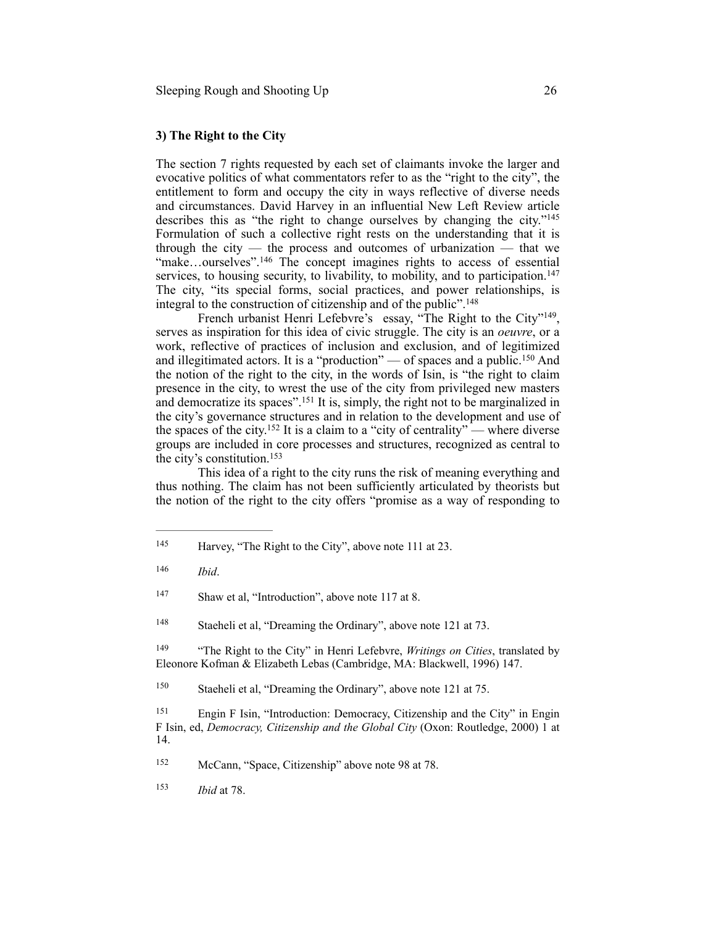#### **3) The Right to the City**

The section 7 rights requested by each set of claimants invoke the larger and evocative politics of what commentators refer to as the "right to the city", the entitlement to form and occupy the city in ways reflective of diverse needs and circumstances. David Harvey in an influential New Left Review article describes this as "the right to change ourselves by changing the city."145 Formulation of such a collective right rests on the understanding that it is through the city  $-$  the process and outcomes of urbanization  $-$  that we "make...ourselves".<sup>146</sup> The concept imagines rights to access of essential services, to housing security, to livability, to mobility, and to participation.<sup>147</sup> The city, "its special forms, social practices, and power relationships, is integral to the construction of citizenship and of the public".148

French urbanist Henri Lefebvre's essay, "The Right to the City"<sup>149</sup>, serves as inspiration for this idea of civic struggle. The city is an *oeuvre*, or a work, reflective of practices of inclusion and exclusion, and of legitimized and illegitimated actors. It is a "production" — of spaces and a public.<sup>150</sup> And the notion of the right to the city, in the words of Isin, is "the right to claim presence in the city, to wrest the use of the city from privileged new masters and democratize its spaces".<sup>151</sup> It is, simply, the right not to be marginalized in the city's governance structures and in relation to the development and use of the spaces of the city.<sup>152</sup> It is a claim to a "city of centrality" — where diverse groups are included in core processes and structures, recognized as central to the city's constitution.153

This idea of a right to the city runs the risk of meaning everything and thus nothing. The claim has not been sufficiently articulated by theorists but the notion of the right to the city offers "promise as a way of responding to

<sup>149</sup> "The Right to the City" in Henri Lefebvre, *Writings on Cities*, translated by Eleonore Kofman & Elizabeth Lebas (Cambridge, MA: Blackwell, 1996) 147.

<sup>150</sup> Staeheli et al, "Dreaming the Ordinary", above note 121 at 75.

 Engin F Isin, "Introduction: Democracy, Citizenship and the City" in Engin 151 F Isin, ed, *Democracy, Citizenship and the Global City* (Oxon: Routledge, 2000) 1 at 14.

152 McCann, "Space, Citizenship" above note 98 at 78.

<sup>&</sup>lt;sup>145</sup> Harvey, "The Right to the City", above note 111 at 23.

*Ibid*. <sup>146</sup>

<sup>&</sup>lt;sup>147</sup> Shaw et al, "Introduction", above note 117 at 8.

<sup>&</sup>lt;sup>148</sup> Staeheli et al, "Dreaming the Ordinary", above note 121 at 73.

<sup>153</sup> *Ibid* at 78.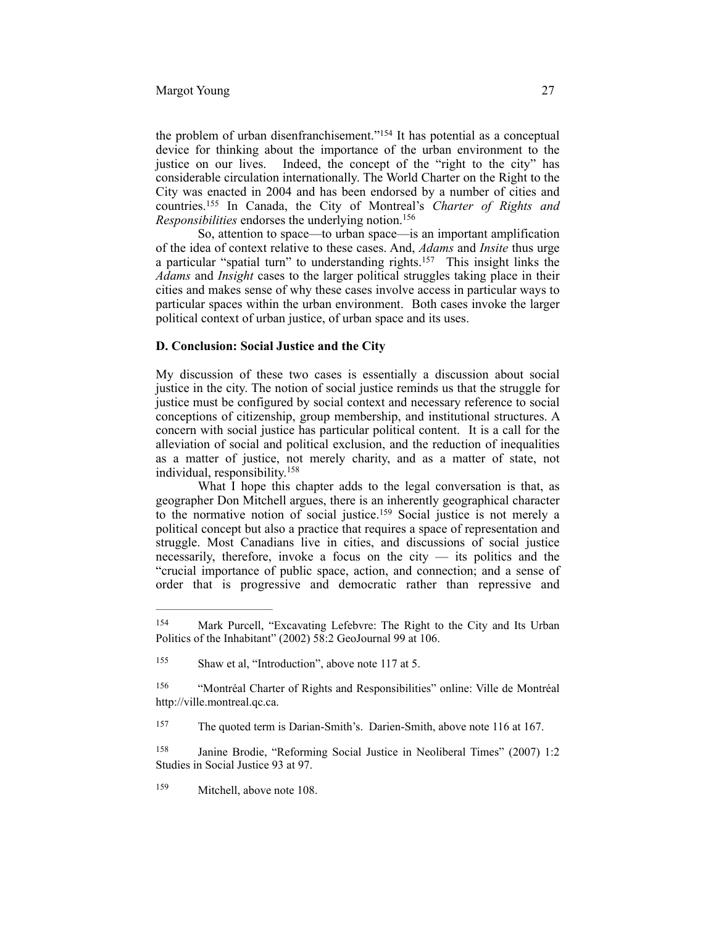# Margot Young 27

the problem of urban disenfranchisement."<sup>154</sup> It has potential as a conceptual device for thinking about the importance of the urban environment to the justice on our lives. Indeed, the concept of the "right to the city" has considerable circulation internationally. The World Charter on the Right to the City was enacted in 2004 and has been endorsed by a number of cities and countries.<sup>155</sup> In Canada, the City of Montreal's *Charter of Rights and Responsibilities* endorses the underlying notion.156

So, attention to space—to urban space—is an important amplification of the idea of context relative to these cases. And, *Adams* and *Insite* thus urge a particular "spatial turn" to understanding rights. $157$  This insight links the *Adams* and *Insight* cases to the larger political struggles taking place in their cities and makes sense of why these cases involve access in particular ways to particular spaces within the urban environment. Both cases invoke the larger political context of urban justice, of urban space and its uses.

# **D. Conclusion: Social Justice and the City**

My discussion of these two cases is essentially a discussion about social justice in the city. The notion of social justice reminds us that the struggle for justice must be configured by social context and necessary reference to social conceptions of citizenship, group membership, and institutional structures. A concern with social justice has particular political content. It is a call for the alleviation of social and political exclusion, and the reduction of inequalities as a matter of justice, not merely charity, and as a matter of state, not individual, responsibility.158

What I hope this chapter adds to the legal conversation is that, as geographer Don Mitchell argues, there is an inherently geographical character to the normative notion of social justice.<sup>159</sup> Social justice is not merely a political concept but also a practice that requires a space of representation and struggle. Most Canadians live in cities, and discussions of social justice necessarily, therefore, invoke a focus on the city  $-$  its politics and the "crucial importance of public space, action, and connection; and a sense of order that is progressive and democratic rather than repressive and

<sup>154</sup> Mark Purcell, "Excavating Lefebvre: The Right to the City and Its Urban Politics of the Inhabitant" (2002) 58:2 GeoJournal 99 at 106.

 $155$  Shaw et al, "Introduction", above note 117 at 5.

<sup>&</sup>lt;sup>156</sup> "Montréal Charter of Rights and Responsibilities" online: Ville de Montréal http://ville.montreal.qc.ca.

<sup>&</sup>lt;sup>157</sup> The quoted term is Darian-Smith's. Darien-Smith, above note 116 at 167.

<sup>&</sup>lt;sup>158</sup> Janine Brodie, "Reforming Social Justice in Neoliberal Times" (2007) 1:2 Studies in Social Justice 93 at 97.

<sup>&</sup>lt;sup>159</sup> Mitchell, above note 108.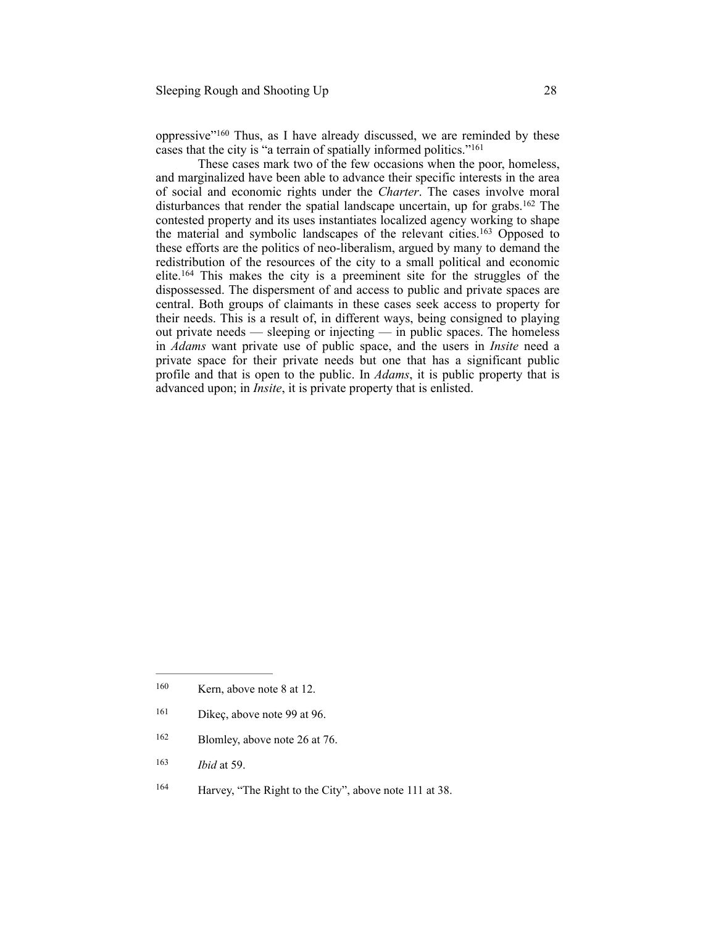oppressive" $160$  Thus, as I have already discussed, we are reminded by these cases that the city is "a terrain of spatially informed politics." 161

These cases mark two of the few occasions when the poor, homeless, and marginalized have been able to advance their specific interests in the area of social and economic rights under the *Charter*. The cases involve moral disturbances that render the spatial landscape uncertain, up for grabs.<sup>162</sup> The contested property and its uses instantiates localized agency working to shape the material and symbolic landscapes of the relevant cities.<sup>163</sup> Opposed to these efforts are the politics of neo-liberalism, argued by many to demand the redistribution of the resources of the city to a small political and economic elite.<sup>164</sup> This makes the city is a preeminent site for the struggles of the dispossessed. The dispersment of and access to public and private spaces are central. Both groups of claimants in these cases seek access to property for their needs. This is a result of, in different ways, being consigned to playing out private needs — sleeping or injecting — in public spaces. The homeless in *Adams* want private use of public space, and the users in *Insite* need a private space for their private needs but one that has a significant public profile and that is open to the public. In *Adams*, it is public property that is advanced upon; in *Insite*, it is private property that is enlisted.

- $161$  Dikeç, above note 99 at 96.
- $162$  Blomley, above note 26 at 76.
- 163 *Ibid* at 59.
- <sup>164</sup> Harvey, "The Right to the City", above note 111 at 38.

 $160$  Kern, above note 8 at 12.